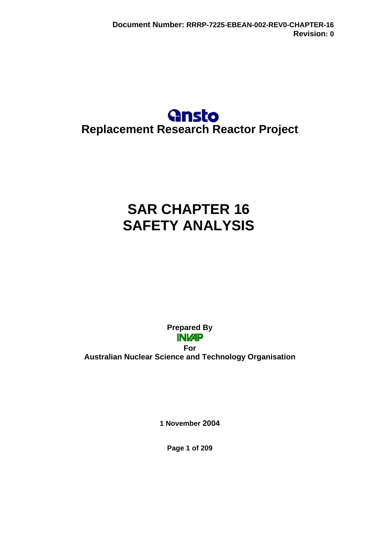## **Gnsto Replacement Research Reactor Project**

# **SAR CHAPTER 16 SAFETY ANALYSIS**

**Prepared By INVAP For Australian Nuclear Science and Technology Organisation** 

**1 November 2004** 

**Page 1 of 209**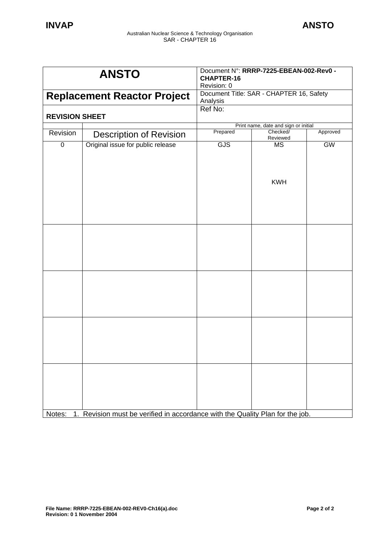|                                    | <b>ANSTO</b>                                                               | Document N°: RRRP-7225-EBEAN-002-Rev0 -<br><b>CHAPTER-16</b><br>Revision: 0 |                                          |           |  |
|------------------------------------|----------------------------------------------------------------------------|-----------------------------------------------------------------------------|------------------------------------------|-----------|--|
| <b>Replacement Reactor Project</b> |                                                                            |                                                                             | Document Title: SAR - CHAPTER 16, Safety |           |  |
|                                    |                                                                            | Analysis                                                                    |                                          |           |  |
| <b>REVISION SHEET</b>              |                                                                            | Ref No:                                                                     |                                          |           |  |
|                                    |                                                                            | Print name, date and sign or initial                                        |                                          |           |  |
| Revision                           | <b>Description of Revision</b>                                             | Prepared                                                                    | Checked/<br>Reviewed                     | Approved  |  |
| $\pmb{0}$                          | Original issue for public release                                          | GJS                                                                         | MS                                       | <b>GW</b> |  |
|                                    |                                                                            |                                                                             | <b>KWH</b>                               |           |  |
|                                    |                                                                            |                                                                             |                                          |           |  |
|                                    |                                                                            |                                                                             |                                          |           |  |
|                                    |                                                                            |                                                                             |                                          |           |  |
| Notes:                             | Revision must be verified in accordance with the Quality Plan for the job. |                                                                             |                                          |           |  |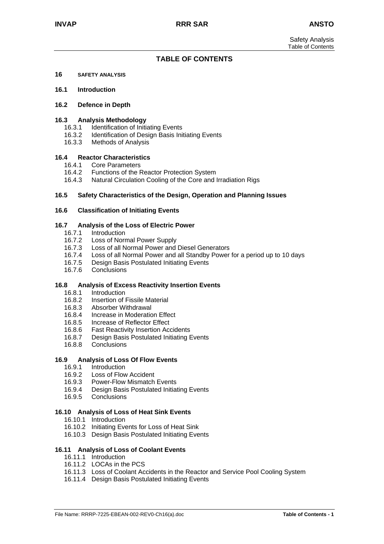#### **TABLE OF CONTENTS**

**16 SAFETY ANALYSIS**

#### **16.1 Introduction**

#### **16.2 Defence in Depth**

#### **16.3 Analysis Methodology**

- 16.3.1 Identification of Initiating Events
- 16.3.2 Identification of Design Basis Initiating Events
- 16.3.3 Methods of Analysis

#### **16.4 Reactor Characteristics**

- 16.4.1 Core Parameters
- 16.4.2 Functions of the Reactor Protection System
- 16.4.3 Natural Circulation Cooling of the Core and Irradiation Rigs

#### **16.5 Safety Characteristics of the Design, Operation and Planning Issues**

#### **16.6 Classification of Initiating Events**

#### **16.7 Analysis of the Loss of Electric Power**

- 16.7.1 Introduction
- 16.7.2 Loss of Normal Power Supply
- 16.7.3 Loss of all Normal Power and Diesel Generators
- 16.7.4 Loss of all Normal Power and all Standby Power for a period up to 10 days
- 16.7.5 Design Basis Postulated Initiating Events
- 16.7.6 Conclusions

#### **16.8 Analysis of Excess Reactivity Insertion Events**

- 16.8.1 Introduction
- 16.8.2 Insertion of Fissile Material
- 16.8.3 Absorber Withdrawal
- 16.8.4 Increase in Moderation Effect
- 16.8.5 Increase of Reflector Effect
- 16.8.6 Fast Reactivity Insertion Accidents
- 16.8.7 Design Basis Postulated Initiating Events
- 16.8.8 Conclusions

#### **16.9 Analysis of Loss Of Flow Events**

- 16.9.1 Introduction
- 16.9.2 Loss of Flow Accident
- 16.9.3 Power-Flow Mismatch Events
- 16.9.4 Design Basis Postulated Initiating Events
- 16.9.5 Conclusions

#### **16.10 Analysis of Loss of Heat Sink Events**

- 16.10.1 Introduction
- 16.10.2 Initiating Events for Loss of Heat Sink
- 16.10.3 Design Basis Postulated Initiating Events

#### **16.11 Analysis of Loss of Coolant Events**

- 16.11.1 Introduction
- 16.11.2 LOCAs in the PCS
- 16.11.3 Loss of Coolant Accidents in the Reactor and Service Pool Cooling System
- 16.11.4 Design Basis Postulated Initiating Events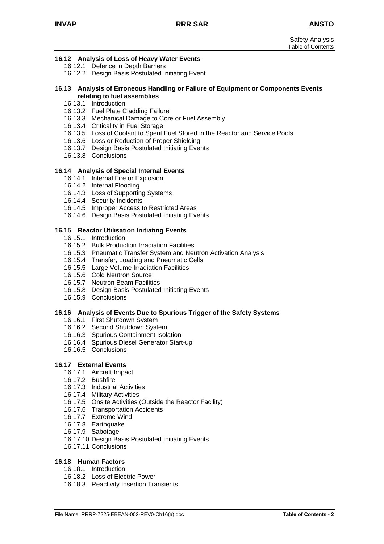#### **16.12 Analysis of Loss of Heavy Water Events**

- 16.12.1 Defence in Depth Barriers
- 16.12.2 Design Basis Postulated Initiating Event

#### **16.13 Analysis of Erroneous Handling or Failure of Equipment or Components Events relating to fuel assemblies**

- 16.13.1 Introduction
- 16.13.2 Fuel Plate Cladding Failure
- 16.13.3 Mechanical Damage to Core or Fuel Assembly
- 16.13.4 Criticality in Fuel Storage
- 16.13.5 Loss of Coolant to Spent Fuel Stored in the Reactor and Service Pools
- 16.13.6 Loss or Reduction of Proper Shielding
- 16.13.7 Design Basis Postulated Initiating Events
- 16.13.8 Conclusions

#### **16.14 Analysis of Special Internal Events**

- 16.14.1 Internal Fire or Explosion
- 16.14.2 Internal Flooding
- 16.14.3 Loss of Supporting Systems
- 16.14.4 Security Incidents
- 16.14.5 Improper Access to Restricted Areas
- 16.14.6 Design Basis Postulated Initiating Events

#### **16.15 Reactor Utilisation Initiating Events**

- 16.15.1 Introduction
- 16.15.2 Bulk Production Irradiation Facilities
- 16.15.3 Pneumatic Transfer System and Neutron Activation Analysis
- 16.15.4 Transfer, Loading and Pneumatic Cells
- 16.15.5 Large Volume Irradiation Facilities
- 16.15.6 Cold Neutron Source
- 16.15.7 Neutron Beam Facilities
- 16.15.8 Design Basis Postulated Initiating Events
- 16.15.9 Conclusions

#### **16.16 Analysis of Events Due to Spurious Trigger of the Safety Systems**

- 16.16.1 First Shutdown System
- 16.16.2 Second Shutdown System
- 16.16.3 Spurious Containment Isolation
- 16.16.4 Spurious Diesel Generator Start-up
- 16.16.5 Conclusions

#### **16.17 External Events**

- 16.17.1 Aircraft Impact
- 16.17.2 Bushfire
- 16.17.3 Industrial Activities
- 16.17.4 Military Activities
- 16.17.5 Onsite Activities (Outside the Reactor Facility)
- 16.17.6 Transportation Accidents
- 16.17.7 Extreme Wind
- 16.17.8 Earthquake
- 16.17.9 Sabotage
- 16.17.10 Design Basis Postulated Initiating Events
- 16.17.11 Conclusions

#### **16.18 Human Factors**

- 16.18.1 Introduction
- 16.18.2 Loss of Electric Power
- 16.18.3 Reactivity Insertion Transients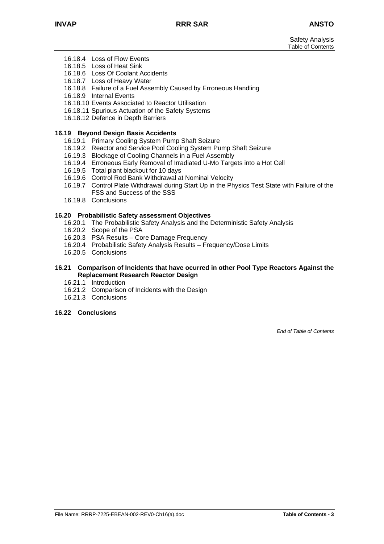Safety Analysis Table of Contents

- 16.18.4 Loss of Flow Events
- 16.18.5 Loss of Heat Sink
- 16.18.6 Loss Of Coolant Accidents
- 16.18.7 Loss of Heavy Water
- 16.18.8 Failure of a Fuel Assembly Caused by Erroneous Handling
- 16.18.9 Internal Events
- 16.18.10 Events Associated to Reactor Utilisation
- 16.18.11 Spurious Actuation of the Safety Systems
- 16.18.12 Defence in Depth Barriers

#### **16.19 Beyond Design Basis Accidents**

- 16.19.1 Primary Cooling System Pump Shaft Seizure
- 16.19.2 Reactor and Service Pool Cooling System Pump Shaft Seizure
- 16.19.3 Blockage of Cooling Channels in a Fuel Assembly
- 16.19.4 Erroneous Early Removal of Irradiated U-Mo Targets into a Hot Cell
- 16.19.5 Total plant blackout for 10 days
- 16.19.6 Control Rod Bank Withdrawal at Nominal Velocity
- 16.19.7 Control Plate Withdrawal during Start Up in the Physics Test State with Failure of the FSS and Success of the SSS
- 16.19.8 Conclusions

#### **16.20 Probabilistic Safety assessment Objectives**

- 16.20.1 The Probabilistic Safety Analysis and the Deterministic Safety Analysis
- 16.20.2 Scope of the PSA
- 16.20.3 PSA Results Core Damage Frequency
- 16.20.4 Probabilistic Safety Analysis Results Frequency/Dose Limits
- 16.20.5 Conclusions

#### **16.21 Comparison of Incidents that have ocurred in other Pool Type Reactors Against the Replacement Research Reactor Design**

- 16.21.1 Introduction
- 16.21.2 Comparison of Incidents with the Design
- 16.21.3 Conclusions

#### **16.22 Conclusions**

*End of Table of Contents*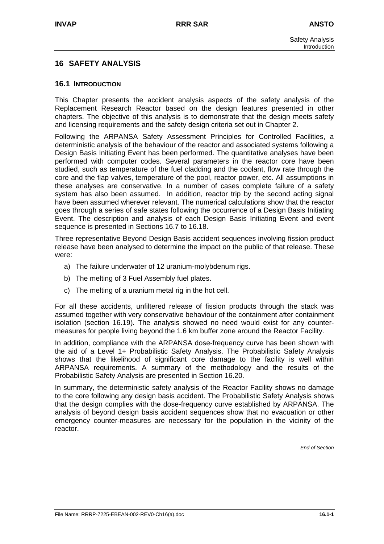## **16 SAFETY ANALYSIS**

#### **16.1 INTRODUCTION**

This Chapter presents the accident analysis aspects of the safety analysis of the Replacement Research Reactor based on the design features presented in other chapters. The objective of this analysis is to demonstrate that the design meets safety and licensing requirements and the safety design criteria set out in Chapter 2.

Following the ARPANSA Safety Assessment Principles for Controlled Facilities, a deterministic analysis of the behaviour of the reactor and associated systems following a Design Basis Initiating Event has been performed. The quantitative analyses have been performed with computer codes. Several parameters in the reactor core have been studied, such as temperature of the fuel cladding and the coolant, flow rate through the core and the flap valves, temperature of the pool, reactor power, etc. All assumptions in these analyses are conservative. In a number of cases complete failure of a safety system has also been assumed. In addition, reactor trip by the second acting signal have been assumed wherever relevant. The numerical calculations show that the reactor goes through a series of safe states following the occurrence of a Design Basis Initiating Event. The description and analysis of each Design Basis Initiating Event and event sequence is presented in Sections 16.7 to 16.18.

Three representative Beyond Design Basis accident sequences involving fission product release have been analysed to determine the impact on the public of that release. These were:

- a) The failure underwater of 12 uranium-molybdenum rigs.
- b) The melting of 3 Fuel Assembly fuel plates.
- c) The melting of a uranium metal rig in the hot cell.

For all these accidents, unfiltered release of fission products through the stack was assumed together with very conservative behaviour of the containment after containment isolation (section 16.19). The analysis showed no need would exist for any countermeasures for people living beyond the 1.6 km buffer zone around the Reactor Facility.

In addition, compliance with the ARPANSA dose-frequency curve has been shown with the aid of a Level 1+ Probabilistic Safety Analysis. The Probabilistic Safety Analysis shows that the likelihood of significant core damage to the facility is well within ARPANSA requirements. A summary of the methodology and the results of the Probabilistic Safety Analysis are presented in Section 16.20.

In summary, the deterministic safety analysis of the Reactor Facility shows no damage to the core following any design basis accident. The Probabilistic Safety Analysis shows that the design complies with the dose-frequency curve established by ARPANSA. The analysis of beyond design basis accident sequences show that no evacuation or other emergency counter-measures are necessary for the population in the vicinity of the reactor.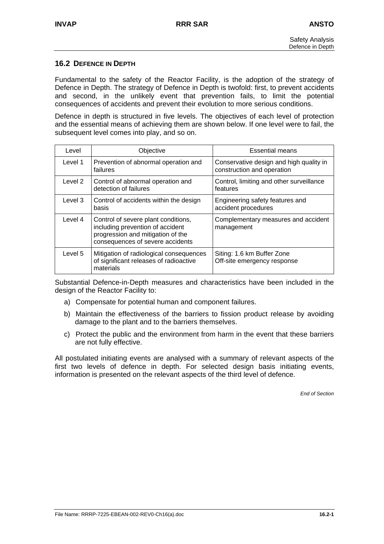## **16.2 DEFENCE IN DEPTH**

Fundamental to the safety of the Reactor Facility, is the adoption of the strategy of Defence in Depth. The strategy of Defence in Depth is twofold: first, to prevent accidents and second, in the unlikely event that prevention fails, to limit the potential consequences of accidents and prevent their evolution to more serious conditions.

Defence in depth is structured in five levels. The objectives of each level of protection and the essential means of achieving them are shown below. If one level were to fail, the subsequent level comes into play, and so on.

| Level   | Objective                                                                                                                                        | <b>Essential means</b>                                                |
|---------|--------------------------------------------------------------------------------------------------------------------------------------------------|-----------------------------------------------------------------------|
| Level 1 | Prevention of abnormal operation and<br>failures                                                                                                 | Conservative design and high quality in<br>construction and operation |
| Level 2 | Control of abnormal operation and<br>detection of failures                                                                                       | Control, limiting and other surveillance<br>features                  |
| Level 3 | Control of accidents within the design<br>basis                                                                                                  | Engineering safety features and<br>accident procedures                |
| Level 4 | Control of severe plant conditions,<br>including prevention of accident<br>progression and mitigation of the<br>consequences of severe accidents | Complementary measures and accident<br>management                     |
| Level 5 | Mitigation of radiological consequences<br>of significant releases of radioactive<br>materials                                                   | Siting: 1.6 km Buffer Zone<br>Off-site emergency response             |

Substantial Defence-in-Depth measures and characteristics have been included in the design of the Reactor Facility to:

- a) Compensate for potential human and component failures.
- b) Maintain the effectiveness of the barriers to fission product release by avoiding damage to the plant and to the barriers themselves.
- c) Protect the public and the environment from harm in the event that these barriers are not fully effective.

All postulated initiating events are analysed with a summary of relevant aspects of the first two levels of defence in depth. For selected design basis initiating events, information is presented on the relevant aspects of the third level of defence.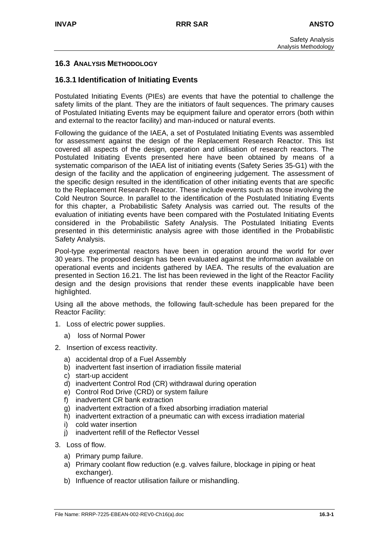## **16.3 ANALYSIS METHODOLOGY**

## **16.3.1 Identification of Initiating Events**

Postulated Initiating Events (PIEs) are events that have the potential to challenge the safety limits of the plant. They are the initiators of fault sequences. The primary causes of Postulated Initiating Events may be equipment failure and operator errors (both within and external to the reactor facility) and man-induced or natural events.

Following the guidance of the IAEA, a set of Postulated Initiating Events was assembled for assessment against the design of the Replacement Research Reactor. This list covered all aspects of the design, operation and utilisation of research reactors. The Postulated Initiating Events presented here have been obtained by means of a systematic comparison of the IAEA list of initiating events (Safety Series 35-G1) with the design of the facility and the application of engineering judgement. The assessment of the specific design resulted in the identification of other initiating events that are specific to the Replacement Research Reactor. These include events such as those involving the Cold Neutron Source. In parallel to the identification of the Postulated Initiating Events for this chapter, a Probabilistic Safety Analysis was carried out. The results of the evaluation of initiating events have been compared with the Postulated Initiating Events considered in the Probabilistic Safety Analysis. The Postulated Initiating Events presented in this deterministic analysis agree with those identified in the Probabilistic Safety Analysis.

Pool-type experimental reactors have been in operation around the world for over 30 years. The proposed design has been evaluated against the information available on operational events and incidents gathered by IAEA. The results of the evaluation are presented in Section 16.21. The list has been reviewed in the light of the Reactor Facility design and the design provisions that render these events inapplicable have been highlighted.

Using all the above methods, the following fault-schedule has been prepared for the Reactor Facility:

- 1. Loss of electric power supplies.
	- a) loss of Normal Power
- 2. Insertion of excess reactivity.
	- a) accidental drop of a Fuel Assembly
	- b) inadvertent fast insertion of irradiation fissile material
	- c) start-up accident
	- d) inadvertent Control Rod (CR) withdrawal during operation
	- e) Control Rod Drive (CRD) or system failure
	- f) inadvertent CR bank extraction
	- g) inadvertent extraction of a fixed absorbing irradiation material
	- h) inadvertent extraction of a pneumatic can with excess irradiation material
	- i) cold water insertion
	- j) inadvertent refill of the Reflector Vessel
- 3. Loss of flow.
	- a) Primary pump failure.
	- a) Primary coolant flow reduction (e.g. valves failure, blockage in piping or heat exchanger).
	- b) Influence of reactor utilisation failure or mishandling.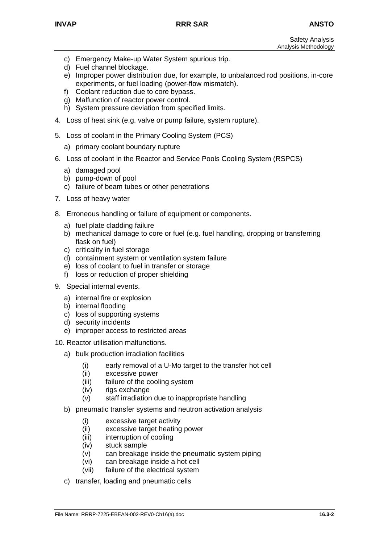- c) Emergency Make-up Water System spurious trip.
- d) Fuel channel blockage.
- e) Improper power distribution due, for example, to unbalanced rod positions, in-core experiments, or fuel loading (power-flow mismatch).
- f) Coolant reduction due to core bypass.
- g) Malfunction of reactor power control.
- h) System pressure deviation from specified limits.
- 4. Loss of heat sink (e.g. valve or pump failure, system rupture).
- 5. Loss of coolant in the Primary Cooling System (PCS)
	- a) primary coolant boundary rupture
- 6. Loss of coolant in the Reactor and Service Pools Cooling System (RSPCS)
	- a) damaged pool
	- b) pump-down of pool
	- c) failure of beam tubes or other penetrations
- 7. Loss of heavy water
- 8. Erroneous handling or failure of equipment or components.
	- a) fuel plate cladding failure
	- b) mechanical damage to core or fuel (e.g. fuel handling, dropping or transferring flask on fuel)
	- c) criticality in fuel storage
	- d) containment system or ventilation system failure
	- e) loss of coolant to fuel in transfer or storage
	- f) loss or reduction of proper shielding
- 9. Special internal events.
	- a) internal fire or explosion
	- b) internal flooding
	- c) loss of supporting systems
	- d) security incidents
	- e) improper access to restricted areas

10. Reactor utilisation malfunctions.

- a) bulk production irradiation facilities
	- (i) early removal of a U-Mo target to the transfer hot cell
	- (ii) excessive power
	- (iii) failure of the cooling system
	- (iv) rigs exchange
	- (v) staff irradiation due to inappropriate handling
- b) pneumatic transfer systems and neutron activation analysis
	- (i) excessive target activity
	- (ii) excessive target heating power
	- (iii) interruption of cooling
	- (iv) stuck sample
	- (v) can breakage inside the pneumatic system piping
	- (vi) can breakage inside a hot cell
	- (vii) failure of the electrical system
- c) transfer, loading and pneumatic cells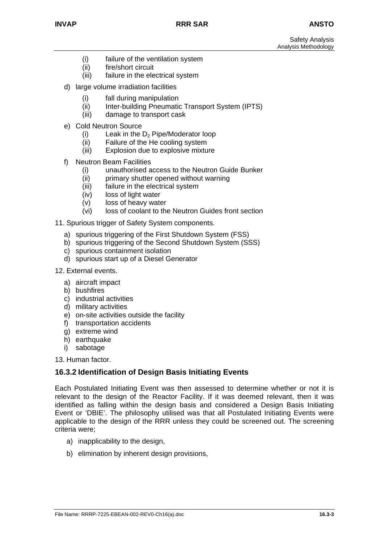Safety Analysis Analysis Methodology

- (i) failure of the ventilation system
- (ii) fire/short circuit
- (iii) failure in the electrical system
- d) large volume irradiation facilities
	- (i) fall during manipulation
	- (ii) Inter-building Pneumatic Transport System (IPTS)
	- (iii) damage to transport cask
- e) Cold Neutron Source
	- (i) Leak in the  $D_2$  Pipe/Moderator loop
	- (ii) Failure of the He cooling system
	- (iii) Explosion due to explosive mixture
- f) Neutron Beam Facilities
	- (i) unauthorised access to the Neutron Guide Bunker
	- (ii) primary shutter opened without warning
	- (iii) failure in the electrical system
	- (iv) loss of light water
	- (v) loss of heavy water
	- (vi) loss of coolant to the Neutron Guides front section
- 11. Spurious trigger of Safety System components.
	- a) spurious triggering of the First Shutdown System (FSS)
	- b) spurious triggering of the Second Shutdown System (SSS)
	- c) spurious containment isolation
	- d) spurious start up of a Diesel Generator
- 12. External events.
	- a) aircraft impact
	- b) bushfires
	- c) industrial activities
	- d) military activities
	- e) on-site activities outside the facility
	- f) transportation accidents
	- g) extreme wind
	- h) earthquake
	- i) sabotage

13. Human factor.

## **16.3.2 Identification of Design Basis Initiating Events**

Each Postulated Initiating Event was then assessed to determine whether or not it is relevant to the design of the Reactor Facility. If it was deemed relevant, then it was identified as falling within the design basis and considered a Design Basis Initiating Event or 'DBIE'. The philosophy utilised was that all Postulated Initiating Events were applicable to the design of the RRR unless they could be screened out. The screening criteria were;

- a) inapplicability to the design,
- b) elimination by inherent design provisions,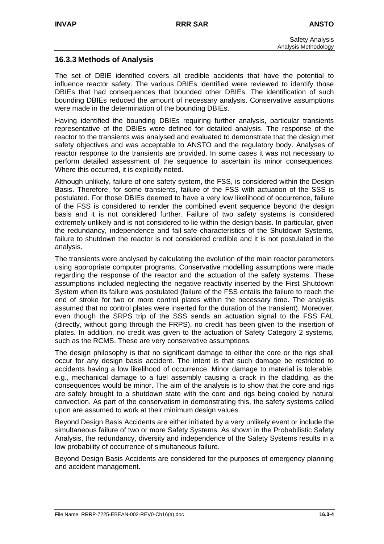## **16.3.3 Methods of Analysis**

The set of DBIE identified covers all credible accidents that have the potential to influence reactor safety. The various DBIEs identified were reviewed to identify those DBIEs that had consequences that bounded other DBIEs. The identification of such bounding DBIEs reduced the amount of necessary analysis. Conservative assumptions were made in the determination of the bounding DBIEs.

Having identified the bounding DBIEs requiring further analysis, particular transients representative of the DBIEs were defined for detailed analysis. The response of the reactor to the transients was analysed and evaluated to demonstrate that the design met safety objectives and was acceptable to ANSTO and the regulatory body. Analyses of reactor response to the transients are provided. In some cases it was not necessary to perform detailed assessment of the sequence to ascertain its minor consequences. Where this occurred, it is explicitly noted.

Although unlikely, failure of one safety system, the FSS, is considered within the Design Basis. Therefore, for some transients, failure of the FSS with actuation of the SSS is postulated. For those DBIEs deemed to have a very low likelihood of occurrence, failure of the FSS is considered to render the combined event sequence beyond the design basis and it is not considered further. Failure of two safety systems is considered extremely unlikely and is not considered to lie within the design basis. In particular, given the redundancy, independence and fail-safe characteristics of the Shutdown Systems, failure to shutdown the reactor is not considered credible and it is not postulated in the analysis.

The transients were analysed by calculating the evolution of the main reactor parameters using appropriate computer programs. Conservative modelling assumptions were made regarding the response of the reactor and the actuation of the safety systems. These assumptions included neglecting the negative reactivity inserted by the First Shutdown System when its failure was postulated (failure of the FSS entails the failure to reach the end of stroke for two or more control plates within the necessary time. The analysis assumed that no control plates were inserted for the duration of the transient). Moreover, even though the SRPS trip of the SSS sends an actuation signal to the FSS FAL (directly, without going through the FRPS), no credit has been given to the insertion of plates. In addition, no credit was given to the actuation of Safety Category 2 systems, such as the RCMS. These are very conservative assumptions.

The design philosophy is that no significant damage to either the core or the rigs shall occur for any design basis accident. The intent is that such damage be restricted to accidents having a low likelihood of occurrence. Minor damage to material is tolerable, e.g., mechanical damage to a fuel assembly causing a crack in the cladding, as the consequences would be minor. The aim of the analysis is to show that the core and rigs are safely brought to a shutdown state with the core and rigs being cooled by natural convection. As part of the conservatism in demonstrating this, the safety systems called upon are assumed to work at their minimum design values.

Beyond Design Basis Accidents are either initiated by a very unlikely event or include the simultaneous failure of two or more Safety Systems. As shown in the Probabilistic Safety Analysis, the redundancy, diversity and independence of the Safety Systems results in a low probability of occurrence of simultaneous failure.

Beyond Design Basis Accidents are considered for the purposes of emergency planning and accident management.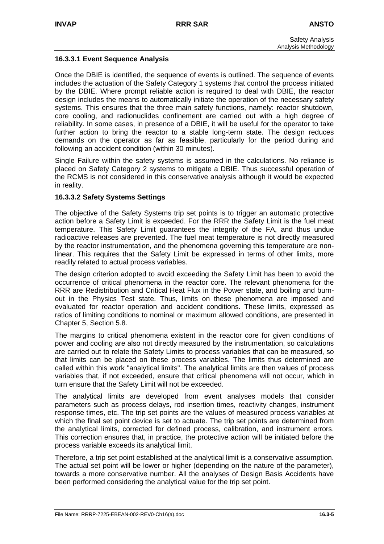## **16.3.3.1 Event Sequence Analysis**

Once the DBIE is identified, the sequence of events is outlined. The sequence of events includes the actuation of the Safety Category 1 systems that control the process initiated by the DBIE. Where prompt reliable action is required to deal with DBIE, the reactor design includes the means to automatically initiate the operation of the necessary safety systems. This ensures that the three main safety functions, namely: reactor shutdown, core cooling, and radionuclides confinement are carried out with a high degree of reliability. In some cases, in presence of a DBIE, it will be useful for the operator to take further action to bring the reactor to a stable long-term state. The design reduces demands on the operator as far as feasible, particularly for the period during and following an accident condition (within 30 minutes).

Single Failure within the safety systems is assumed in the calculations. No reliance is placed on Safety Category 2 systems to mitigate a DBIE. Thus successful operation of the RCMS is not considered in this conservative analysis although it would be expected in reality.

#### **16.3.3.2 Safety Systems Settings**

The objective of the Safety Systems trip set points is to trigger an automatic protective action before a Safety Limit is exceeded. For the RRR the Safety Limit is the fuel meat temperature. This Safety Limit guarantees the integrity of the FA, and thus undue radioactive releases are prevented. The fuel meat temperature is not directly measured by the reactor instrumentation, and the phenomena governing this temperature are nonlinear. This requires that the Safety Limit be expressed in terms of other limits, more readily related to actual process variables.

The design criterion adopted to avoid exceeding the Safety Limit has been to avoid the occurrence of critical phenomena in the reactor core. The relevant phenomena for the RRR are Redistribution and Critical Heat Flux in the Power state, and boiling and burnout in the Physics Test state. Thus, limits on these phenomena are imposed and evaluated for reactor operation and accident conditions. These limits, expressed as ratios of limiting conditions to nominal or maximum allowed conditions, are presented in Chapter 5, Section 5.8.

The margins to critical phenomena existent in the reactor core for given conditions of power and cooling are also not directly measured by the instrumentation, so calculations are carried out to relate the Safety Limits to process variables that can be measured, so that limits can be placed on these process variables. The limits thus determined are called within this work "analytical limits". The analytical limits are then values of process variables that, if not exceeded, ensure that critical phenomena will not occur, which in turn ensure that the Safety Limit will not be exceeded.

The analytical limits are developed from event analyses models that consider parameters such as process delays, rod insertion times, reactivity changes, instrument response times, etc. The trip set points are the values of measured process variables at which the final set point device is set to actuate. The trip set points are determined from the analytical limits, corrected for defined process, calibration, and instrument errors. This correction ensures that, in practice, the protective action will be initiated before the process variable exceeds its analytical limit.

Therefore, a trip set point established at the analytical limit is a conservative assumption. The actual set point will be lower or higher (depending on the nature of the parameter), towards a more conservative number. All the analyses of Design Basis Accidents have been performed considering the analytical value for the trip set point.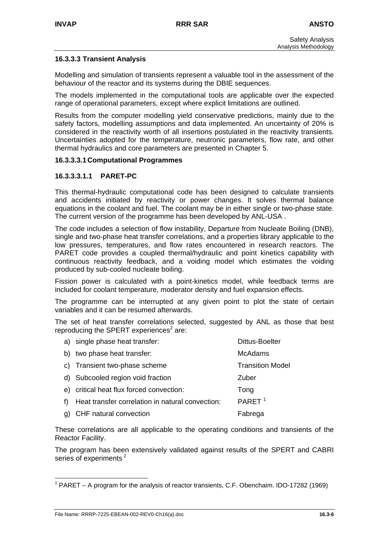#### **16.3.3.3 Transient Analysis**

Modelling and simulation of transients represent a valuable tool in the assessment of the behaviour of the reactor and its systems during the DBIE sequences.

The models implemented in the computational tools are applicable over the expected range of operational parameters, except where explicit limitations are outlined.

Results from the computer modelling yield conservative predictions, mainly due to the safety factors, modelling assumptions and data implemented. An uncertainty of 20% is considered in the reactivity worth of all insertions postulated in the reactivity transients. Uncertainties adopted for the temperature, neutronic parameters, flow rate, and other thermal hydraulics and core parameters are presented in Chapter 5.

#### **16.3.3.3.1 Computational Programmes**

#### **16.3.3.3.1.1 PARET-PC**

This thermal-hydraulic computational code has been designed to calculate transients and accidents initiated by reactivity or power changes. It solves thermal balance equations in the coolant and fuel. The coolant may be in either single or two-phase state. The current version of the programme has been developed by ANL-USA .

The code includes a selection of flow instability, Departure from Nucleate Boiling (DNB), single and two-phase heat transfer correlations, and a properties library applicable to the low pressures, temperatures, and flow rates encountered in research reactors. The PARET code provides a coupled thermal/hydraulic and point kinetics capability with continuous reactivity feedback, and a voiding model which estimates the voiding produced by sub-cooled nucleate boiling.

Fission power is calculated with a point-kinetics model, while feedback terms are included for coolant temperature, moderator density and fuel expansion effects.

The programme can be interrupted at any given point to plot the state of certain variables and it can be resumed afterwards.

The set of heat transfer correlations selected, suggested by ANL as those that best reproducing the SPERT experiences $2$  are:

|     | a) single phase heat transfer:                   | <b>Dittus-Boelter</b>   |
|-----|--------------------------------------------------|-------------------------|
|     | b) two phase heat transfer:                      | <b>McAdams</b>          |
|     | c) Transient two-phase scheme                    | <b>Transition Model</b> |
|     | d) Subcooled region void fraction                | Zuber                   |
|     | e) critical heat flux forced convection:         | Tong                    |
| f). | Heat transfer correlation in natural convection: | PARET <sup>1</sup>      |
|     | g) CHF natural convection                        | Fabrega                 |

These correlations are all applicable to the operating conditions and transients of the Reactor Facility.

The program has been extensively validated against results of the SPERT and CABRI series of experiments<sup>[2](#page-12-1)</sup>

<span id="page-12-1"></span><span id="page-12-0"></span> <sup>1</sup> PARET – A program for the analysis of reactor transients, C.F. Obenchaim. IDO-17282 (1969)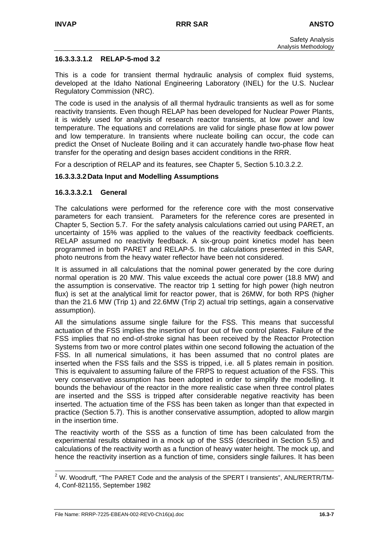#### **16.3.3.3.1.2 RELAP-5-mod 3.2**

This is a code for transient thermal hydraulic analysis of complex fluid systems, developed at the Idaho National Engineering Laboratory (INEL) for the U.S. Nuclear Regulatory Commission (NRC).

The code is used in the analysis of all thermal hydraulic transients as well as for some reactivity transients. Even though RELAP has been developed for Nuclear Power Plants, it is widely used for analysis of research reactor transients, at low power and low temperature. The equations and correlations are valid for single phase flow at low power and low temperature. In transients where nucleate boiling can occur, the code can predict the Onset of Nucleate Boiling and it can accurately handle two-phase flow heat transfer for the operating and design bases accident conditions in the RRR.

For a description of RELAP and its features, see Chapter 5, Section 5.10.3.2.2.

#### **16.3.3.3.2 Data Input and Modelling Assumptions**

#### **16.3.3.3.2.1 General**

The calculations were performed for the reference core with the most conservative parameters for each transient. Parameters for the reference cores are presented in Chapter 5, Section 5.7. For the safety analysis calculations carried out using PARET, an uncertainty of 15% was applied to the values of the reactivity feedback coefficients. RELAP assumed no reactivity feedback. A six-group point kinetics model has been programmed in both PARET and RELAP-5. In the calculations presented in this SAR, photo neutrons from the heavy water reflector have been not considered.

It is assumed in all calculations that the nominal power generated by the core during normal operation is 20 MW. This value exceeds the actual core power (18.8 MW) and the assumption is conservative. The reactor trip 1 setting for high power (high neutron flux) is set at the analytical limit for reactor power, that is 26MW, for both RPS (higher than the 21.6 MW (Trip 1) and 22.6MW (Trip 2) actual trip settings, again a conservative assumption).

All the simulations assume single failure for the FSS. This means that successful actuation of the FSS implies the insertion of four out of five control plates. Failure of the FSS implies that no end-of-stroke signal has been received by the Reactor Protection Systems from two or more control plates within one second following the actuation of the FSS. In all numerical simulations, it has been assumed that no control plates are inserted when the FSS fails and the SSS is tripped, i.e. all 5 plates remain in position. This is equivalent to assuming failure of the FRPS to request actuation of the FSS. This very conservative assumption has been adopted in order to simplify the modelling. It bounds the behaviour of the reactor in the more realistic case when three control plates are inserted and the SSS is tripped after considerable negative reactivity has been inserted. The actuation time of the FSS has been taken as longer than that expected in practice (Section 5.7). This is another conservative assumption, adopted to allow margin in the insertion time.

The reactivity worth of the SSS as a function of time has been calculated from the experimental results obtained in a mock up of the SSS (described in Section 5.5) and calculations of the reactivity worth as a function of heavy water height. The mock up, and hence the reactivity insertion as a function of time, considers single failures. It has been

 <sup>2</sup> W. Woodruff, "The PARET Code and the analysis of the SPERT I transients", ANL/RERTR/TM-4, Conf-821155, September 1982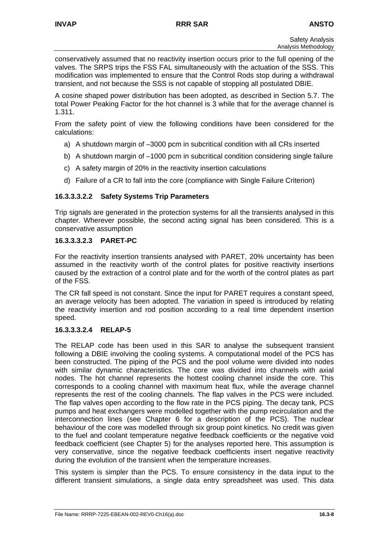conservatively assumed that no reactivity insertion occurs prior to the full opening of the valves. The SRPS trips the FSS FAL simultaneously with the actuation of the SSS. This modification was implemented to ensure that the Control Rods stop during a withdrawal transient, and not because the SSS is not capable of stopping all postulated DBIE.

A cosine shaped power distribution has been adopted, as described in Section 5.7. The total Power Peaking Factor for the hot channel is 3 while that for the average channel is 1.311.

From the safety point of view the following conditions have been considered for the calculations:

- a) A shutdown margin of –3000 pcm in subcritical condition with all CRs inserted
- b) A shutdown margin of –1000 pcm in subcritical condition considering single failure
- c) A safety margin of 20% in the reactivity insertion calculations
- d) Failure of a CR to fall into the core (compliance with Single Failure Criterion)

#### **16.3.3.3.2.2 Safety Systems Trip Parameters**

Trip signals are generated in the protection systems for all the transients analysed in this chapter. Wherever possible, the second acting signal has been considered. This is a conservative assumption

#### **16.3.3.3.2.3 PARET-PC**

For the reactivity insertion transients analysed with PARET, 20% uncertainty has been assumed in the reactivity worth of the control plates for positive reactivity insertions caused by the extraction of a control plate and for the worth of the control plates as part of the FSS.

The CR fall speed is not constant. Since the input for PARET requires a constant speed, an average velocity has been adopted. The variation in speed is introduced by relating the reactivity insertion and rod position according to a real time dependent insertion speed.

#### **16.3.3.3.2.4 RELAP-5**

The RELAP code has been used in this SAR to analyse the subsequent transient following a DBIE involving the cooling systems. A computational model of the PCS has been constructed. The piping of the PCS and the pool volume were divided into nodes with similar dynamic characteristics. The core was divided into channels with axial nodes. The hot channel represents the hottest cooling channel inside the core. This corresponds to a cooling channel with maximum heat flux, while the average channel represents the rest of the cooling channels. The flap valves in the PCS were included. The flap valves open according to the flow rate in the PCS piping. The decay tank, PCS pumps and heat exchangers were modelled together with the pump recirculation and the interconnection lines (see Chapter 6 for a description of the PCS). The nuclear behaviour of the core was modelled through six group point kinetics. No credit was given to the fuel and coolant temperature negative feedback coefficients or the negative void feedback coefficient (see Chapter 5) for the analyses reported here. This assumption is very conservative, since the negative feedback coefficients insert negative reactivity during the evolution of the transient when the temperature increases.

This system is simpler than the PCS. To ensure consistency in the data input to the different transient simulations, a single data entry spreadsheet was used. This data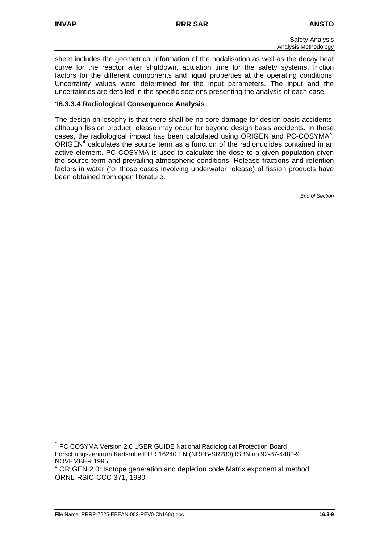sheet includes the geometrical information of the nodalisation as well as the decay heat curve for the reactor after shutdown, actuation time for the safety systems, friction factors for the different components and liquid properties at the operating conditions. Uncertainty values were determined for the input parameters. The input and the uncertainties are detailed in the specific sections presenting the analysis of each case.

## **16.3.3.4 Radiological Consequence Analysis**

The design philosophy is that there shall be no core damage for design basis accidents, although fission product release may occur for beyond design basis accidents. In these cases, the radiological impact has been calculated using ORIGEN and PC-COSYMA<sup>3</sup>[.](#page-15-0) ORIGEN $<sup>4</sup>$ calculates the source term as a function of the radionuclides contained in an</sup> active element. PC COSYMA is used to calculate the dose to a given population given the source term and prevailing atmospheric conditions. Release fractions and retention factors in water (for those cases involving underwater release) of fission products have been obtained from open literature.

<span id="page-15-0"></span> <sup>3</sup> PC COSYMA Version 2.0 USER GUIDE National Radiological Protection Board Forschungszentrum Karlsruhe EUR 16240 EN (NRPB-SR280) ISBN no 92-87-4480-9 NOVEMBER 1995

<span id="page-15-1"></span><sup>&</sup>lt;sup>4</sup> ORIGEN 2.0: Isotope generation and depletion code Matrix exponential method, ORNL-RSIC-CCC 371, 1980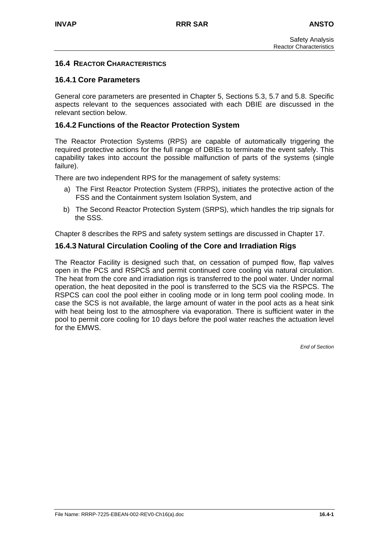## **16.4 REACTOR CHARACTERISTICS**

## **16.4.1 Core Parameters**

General core parameters are presented in Chapter 5, Sections 5.3, 5.7 and 5.8. Specific aspects relevant to the sequences associated with each DBIE are discussed in the relevant section below.

## **16.4.2 Functions of the Reactor Protection System**

The Reactor Protection Systems (RPS) are capable of automatically triggering the required protective actions for the full range of DBIEs to terminate the event safely. This capability takes into account the possible malfunction of parts of the systems (single failure).

There are two independent RPS for the management of safety systems:

- a) The First Reactor Protection System (FRPS), initiates the protective action of the FSS and the Containment system Isolation System, and
- b) The Second Reactor Protection System (SRPS), which handles the trip signals for the SSS.

Chapter 8 describes the RPS and safety system settings are discussed in Chapter 17.

#### **16.4.3 Natural Circulation Cooling of the Core and Irradiation Rigs**

The Reactor Facility is designed such that, on cessation of pumped flow, flap valves open in the PCS and RSPCS and permit continued core cooling via natural circulation. The heat from the core and irradiation rigs is transferred to the pool water. Under normal operation, the heat deposited in the pool is transferred to the SCS via the RSPCS. The RSPCS can cool the pool either in cooling mode or in long term pool cooling mode. In case the SCS is not available, the large amount of water in the pool acts as a heat sink with heat being lost to the atmosphere via evaporation. There is sufficient water in the pool to permit core cooling for 10 days before the pool water reaches the actuation level for the EMWS.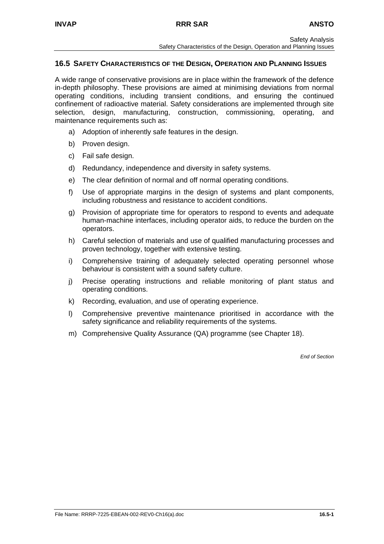## **16.5 SAFETY CHARACTERISTICS OF THE DESIGN, OPERATION AND PLANNING ISSUES**

A wide range of conservative provisions are in place within the framework of the defence in-depth philosophy. These provisions are aimed at minimising deviations from normal operating conditions, including transient conditions, and ensuring the continued confinement of radioactive material. Safety considerations are implemented through site selection, design, manufacturing, construction, commissioning, operating, and maintenance requirements such as:

- a) Adoption of inherently safe features in the design.
- b) Proven design.
- c) Fail safe design.
- d) Redundancy, independence and diversity in safety systems.
- e) The clear definition of normal and off normal operating conditions.
- f) Use of appropriate margins in the design of systems and plant components, including robustness and resistance to accident conditions.
- g) Provision of appropriate time for operators to respond to events and adequate human-machine interfaces, including operator aids, to reduce the burden on the operators.
- h) Careful selection of materials and use of qualified manufacturing processes and proven technology, together with extensive testing.
- i) Comprehensive training of adequately selected operating personnel whose behaviour is consistent with a sound safety culture.
- j) Precise operating instructions and reliable monitoring of plant status and operating conditions.
- k) Recording, evaluation, and use of operating experience.
- l) Comprehensive preventive maintenance prioritised in accordance with the safety significance and reliability requirements of the systems.
- m) Comprehensive Quality Assurance (QA) programme (see Chapter 18).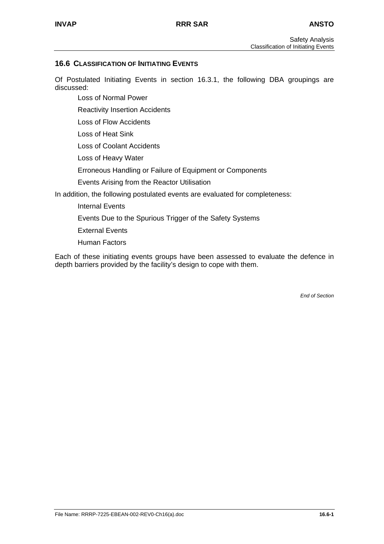## **16.6 CLASSIFICATION OF INITIATING EVENTS**

Of Postulated Initiating Events in section 16.3.1, the following DBA groupings are discussed:

Loss of Normal Power

Reactivity Insertion Accidents

Loss of Flow Accidents

Loss of Heat Sink

Loss of Coolant Accidents

Loss of Heavy Water

Erroneous Handling or Failure of Equipment or Components

Events Arising from the Reactor Utilisation

In addition, the following postulated events are evaluated for completeness:

Internal Events

Events Due to the Spurious Trigger of the Safety Systems

External Events

Human Factors

Each of these initiating events groups have been assessed to evaluate the defence in depth barriers provided by the facility's design to cope with them.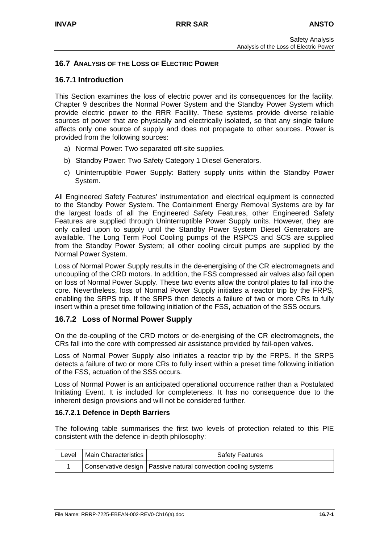## **16.7 ANALYSIS OF THE LOSS OF ELECTRIC POWER**

## **16.7.1 Introduction**

This Section examines the loss of electric power and its consequences for the facility. Chapter 9 describes the Normal Power System and the Standby Power System which provide electric power to the RRR Facility. These systems provide diverse reliable sources of power that are physically and electrically isolated, so that any single failure affects only one source of supply and does not propagate to other sources. Power is provided from the following sources:

- a) Normal Power: Two separated off-site supplies.
- b) Standby Power: Two Safety Category 1 Diesel Generators.
- c) Uninterruptible Power Supply: Battery supply units within the Standby Power System.

All Engineered Safety Features' instrumentation and electrical equipment is connected to the Standby Power System. The Containment Energy Removal Systems are by far the largest loads of all the Engineered Safety Features, other Engineered Safety Features are supplied through Uninterruptible Power Supply units. However, they are only called upon to supply until the Standby Power System Diesel Generators are available. The Long Term Pool Cooling pumps of the RSPCS and SCS are supplied from the Standby Power System; all other cooling circuit pumps are supplied by the Normal Power System.

Loss of Normal Power Supply results in the de-energising of the CR electromagnets and uncoupling of the CRD motors. In addition, the FSS compressed air valves also fail open on loss of Normal Power Supply. These two events allow the control plates to fall into the core. Nevertheless, loss of Normal Power Supply initiates a reactor trip by the FRPS, enabling the SRPS trip. If the SRPS then detects a failure of two or more CRs to fully insert within a preset time following initiation of the FSS, actuation of the SSS occurs.

#### **16.7.2 Loss of Normal Power Supply**

On the de-coupling of the CRD motors or de-energising of the CR electromagnets, the CRs fall into the core with compressed air assistance provided by fail-open valves.

Loss of Normal Power Supply also initiates a reactor trip by the FRPS. If the SRPS detects a failure of two or more CRs to fully insert within a preset time following initiation of the FSS, actuation of the SSS occurs.

Loss of Normal Power is an anticipated operational occurrence rather than a Postulated Initiating Event. It is included for completeness. It has no consequence due to the inherent design provisions and will not be considered further.

#### **16.7.2.1 Defence in Depth Barriers**

The following table summarises the first two levels of protection related to this PIE consistent with the defence in-depth philosophy:

| Level   Main Characteristics | <b>Safety Features</b>                                           |
|------------------------------|------------------------------------------------------------------|
|                              | Conservative design   Passive natural convection cooling systems |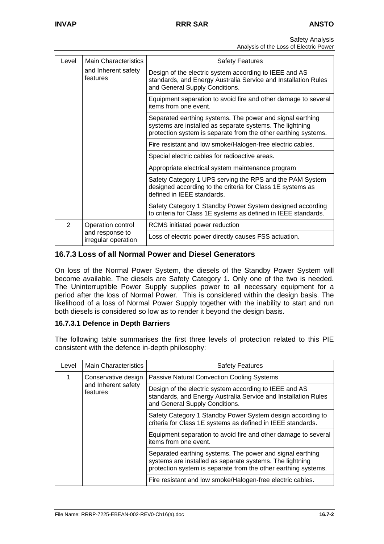Safety Analysis

Analysis of the Loss of Electric Power

| Level                                  | <b>Main Characteristics</b>     | <b>Safety Features</b>                                                                                                                                                                  |
|----------------------------------------|---------------------------------|-----------------------------------------------------------------------------------------------------------------------------------------------------------------------------------------|
|                                        | and Inherent safety<br>features | Design of the electric system according to IEEE and AS<br>standards, and Energy Australia Service and Installation Rules<br>and General Supply Conditions.                              |
|                                        |                                 | Equipment separation to avoid fire and other damage to several<br>items from one event.                                                                                                 |
|                                        |                                 | Separated earthing systems. The power and signal earthing<br>systems are installed as separate systems. The lightning<br>protection system is separate from the other earthing systems. |
|                                        |                                 | Fire resistant and low smoke/Halogen-free electric cables.                                                                                                                              |
|                                        |                                 | Special electric cables for radioactive areas.                                                                                                                                          |
|                                        |                                 | Appropriate electrical system maintenance program                                                                                                                                       |
|                                        |                                 | Safety Category 1 UPS serving the RPS and the PAM System<br>designed according to the criteria for Class 1E systems as<br>defined in IEEE standards.                                    |
|                                        |                                 | Safety Category 1 Standby Power System designed according<br>to criteria for Class 1E systems as defined in IEEE standards.                                                             |
| 2                                      | Operation control               | RCMS initiated power reduction                                                                                                                                                          |
| and response to<br>irregular operation |                                 | Loss of electric power directly causes FSS actuation.                                                                                                                                   |

## **16.7.3 Loss of all Normal Power and Diesel Generators**

On loss of the Normal Power System, the diesels of the Standby Power System will become available. The diesels are Safety Category 1. Only one of the two is needed. The Uninterruptible Power Supply supplies power to all necessary equipment for a period after the loss of Normal Power. This is considered within the design basis. The likelihood of a loss of Normal Power Supply together with the inability to start and run both diesels is considered so low as to render it beyond the design basis.

#### **16.7.3.1 Defence in Depth Barriers**

The following table summarises the first three levels of protection related to this PIE consistent with the defence in-depth philosophy:

| Level | <b>Main Characteristics</b>     | <b>Safety Features</b>                                                                                                                                                                  |  |
|-------|---------------------------------|-----------------------------------------------------------------------------------------------------------------------------------------------------------------------------------------|--|
|       | Conservative design             | <b>Passive Natural Convection Cooling Systems</b>                                                                                                                                       |  |
|       | and Inherent safety<br>features | Design of the electric system according to IEEE and AS<br>standards, and Energy Australia Service and Installation Rules<br>and General Supply Conditions.                              |  |
|       |                                 | Safety Category 1 Standby Power System design according to<br>criteria for Class 1E systems as defined in IEEE standards.                                                               |  |
|       |                                 | Equipment separation to avoid fire and other damage to several<br>items from one event.                                                                                                 |  |
|       |                                 | Separated earthing systems. The power and signal earthing<br>systems are installed as separate systems. The lightning<br>protection system is separate from the other earthing systems. |  |
|       |                                 | Fire resistant and low smoke/Halogen-free electric cables.                                                                                                                              |  |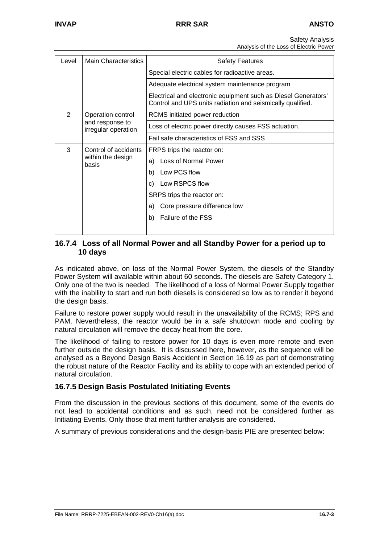Safety Analysis

Analysis of the Loss of Electric Power

| Level          | <b>Main Characteristics</b>                         | <b>Safety Features</b>                                                                                                       |  |  |  |
|----------------|-----------------------------------------------------|------------------------------------------------------------------------------------------------------------------------------|--|--|--|
|                |                                                     | Special electric cables for radioactive areas.                                                                               |  |  |  |
|                |                                                     | Adequate electrical system maintenance program                                                                               |  |  |  |
|                |                                                     | Electrical and electronic equipment such as Diesel Generators'<br>Control and UPS units radiation and seismically qualified. |  |  |  |
| $\overline{2}$ | RCMS initiated power reduction<br>Operation control |                                                                                                                              |  |  |  |
|                | and response to<br>irregular operation              | Loss of electric power directly causes FSS actuation.                                                                        |  |  |  |
|                |                                                     | Fail safe characteristics of FSS and SSS                                                                                     |  |  |  |
| 3              | Control of accidents<br>within the design<br>basis  | FRPS trips the reactor on:                                                                                                   |  |  |  |
|                |                                                     | Loss of Normal Power<br>a)                                                                                                   |  |  |  |
|                |                                                     | Low PCS flow<br>b)                                                                                                           |  |  |  |
|                |                                                     | c) Low RSPCS flow                                                                                                            |  |  |  |
|                |                                                     | SRPS trips the reactor on:                                                                                                   |  |  |  |
|                |                                                     | Core pressure difference low<br>a)                                                                                           |  |  |  |
|                |                                                     | <b>Failure of the FSS</b><br>b)                                                                                              |  |  |  |

## **16.7.4 Loss of all Normal Power and all Standby Power for a period up to 10 days**

As indicated above, on loss of the Normal Power System, the diesels of the Standby Power System will available within about 60 seconds. The diesels are Safety Category 1. Only one of the two is needed. The likelihood of a loss of Normal Power Supply together with the inability to start and run both diesels is considered so low as to render it beyond the design basis.

Failure to restore power supply would result in the unavailability of the RCMS; RPS and PAM. Nevertheless, the reactor would be in a safe shutdown mode and cooling by natural circulation will remove the decay heat from the core.

The likelihood of failing to restore power for 10 days is even more remote and even further outside the design basis. It is discussed here, however, as the sequence will be analysed as a Beyond Design Basis Accident in Section 16.19 as part of demonstrating the robust nature of the Reactor Facility and its ability to cope with an extended period of natural circulation.

## **16.7.5 Design Basis Postulated Initiating Events**

From the discussion in the previous sections of this document, some of the events do not lead to accidental conditions and as such, need not be considered further as Initiating Events. Only those that merit further analysis are considered.

A summary of previous considerations and the design-basis PIE are presented below: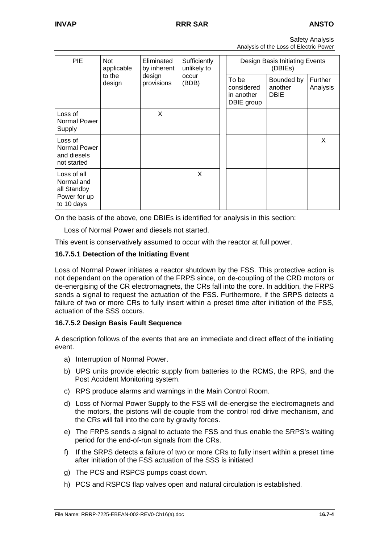|                                        | <b>Safety Analysis</b> |
|----------------------------------------|------------------------|
| Analysis of the Loss of Electric Power |                        |

| <b>PIE</b>                                                             | <b>Not</b><br>Eliminated<br>Sufficiently<br>unlikely to<br>applicable<br>by inherent<br>to the<br>design<br>occur<br>provisions<br>design<br>(BDB) |                                                 |                                      |                     | Design Basis Initiating Events<br>(DBIEs) |  |   |  |
|------------------------------------------------------------------------|----------------------------------------------------------------------------------------------------------------------------------------------------|-------------------------------------------------|--------------------------------------|---------------------|-------------------------------------------|--|---|--|
|                                                                        |                                                                                                                                                    | To be<br>considered<br>in another<br>DBIE group | Bounded by<br>another<br><b>DBIE</b> | Further<br>Analysis |                                           |  |   |  |
| Loss of<br>Normal Power<br>Supply                                      |                                                                                                                                                    | X                                               |                                      |                     |                                           |  |   |  |
| Loss of<br>Normal Power<br>and diesels<br>not started                  |                                                                                                                                                    |                                                 |                                      |                     |                                           |  | X |  |
| Loss of all<br>Normal and<br>all Standby<br>Power for up<br>to 10 days |                                                                                                                                                    |                                                 | X                                    |                     |                                           |  |   |  |

On the basis of the above, one DBIEs is identified for analysis in this section:

Loss of Normal Power and diesels not started.

This event is conservatively assumed to occur with the reactor at full power.

#### **16.7.5.1 Detection of the Initiating Event**

Loss of Normal Power initiates a reactor shutdown by the FSS. This protective action is not dependant on the operation of the FRPS since, on de-coupling of the CRD motors or de-energising of the CR electromagnets, the CRs fall into the core. In addition, the FRPS sends a signal to request the actuation of the FSS. Furthermore, if the SRPS detects a failure of two or more CRs to fully insert within a preset time after initiation of the FSS, actuation of the SSS occurs.

#### **16.7.5.2 Design Basis Fault Sequence**

A description follows of the events that are an immediate and direct effect of the initiating event.

- a) Interruption of Normal Power.
- b) UPS units provide electric supply from batteries to the RCMS, the RPS, and the Post Accident Monitoring system.
- c) RPS produce alarms and warnings in the Main Control Room.
- d) Loss of Normal Power Supply to the FSS will de-energise the electromagnets and the motors, the pistons will de-couple from the control rod drive mechanism, and the CRs will fall into the core by gravity forces.
- e) The FRPS sends a signal to actuate the FSS and thus enable the SRPS's waiting period for the end-of-run signals from the CRs.
- f) If the SRPS detects a failure of two or more CRs to fully insert within a preset time after initiation of the FSS actuation of the SSS is initiated
- g) The PCS and RSPCS pumps coast down.
- h) PCS and RSPCS flap valves open and natural circulation is established.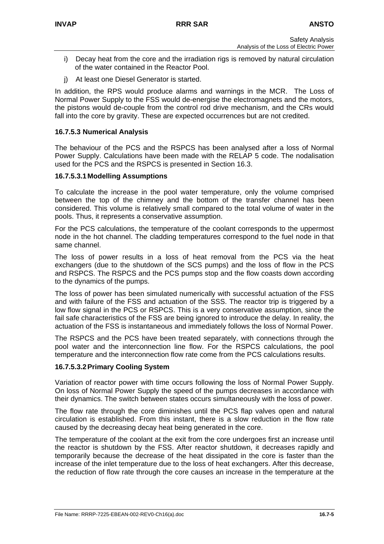- i) Decay heat from the core and the irradiation rigs is removed by natural circulation of the water contained in the Reactor Pool.
- j) At least one Diesel Generator is started.

In addition, the RPS would produce alarms and warnings in the MCR. The Loss of Normal Power Supply to the FSS would de-energise the electromagnets and the motors, the pistons would de-couple from the control rod drive mechanism, and the CRs would fall into the core by gravity. These are expected occurrences but are not credited.

#### **16.7.5.3 Numerical Analysis**

The behaviour of the PCS and the RSPCS has been analysed after a loss of Normal Power Supply. Calculations have been made with the RELAP 5 code. The nodalisation used for the PCS and the RSPCS is presented in Section 16.3.

#### **16.7.5.3.1 Modelling Assumptions**

To calculate the increase in the pool water temperature, only the volume comprised between the top of the chimney and the bottom of the transfer channel has been considered. This volume is relatively small compared to the total volume of water in the pools. Thus, it represents a conservative assumption.

For the PCS calculations, the temperature of the coolant corresponds to the uppermost node in the hot channel. The cladding temperatures correspond to the fuel node in that same channel.

The loss of power results in a loss of heat removal from the PCS via the heat exchangers (due to the shutdown of the SCS pumps) and the loss of flow in the PCS and RSPCS. The RSPCS and the PCS pumps stop and the flow coasts down according to the dynamics of the pumps.

The loss of power has been simulated numerically with successful actuation of the FSS and with failure of the FSS and actuation of the SSS. The reactor trip is triggered by a low flow signal in the PCS or RSPCS. This is a very conservative assumption, since the fail safe characteristics of the FSS are being ignored to introduce the delay. In reality, the actuation of the FSS is instantaneous and immediately follows the loss of Normal Power.

The RSPCS and the PCS have been treated separately, with connections through the pool water and the interconnection line flow. For the RSPCS calculations, the pool temperature and the interconnection flow rate come from the PCS calculations results.

## **16.7.5.3.2 Primary Cooling System**

Variation of reactor power with time occurs following the loss of Normal Power Supply. On loss of Normal Power Supply the speed of the pumps decreases in accordance with their dynamics. The switch between states occurs simultaneously with the loss of power.

The flow rate through the core diminishes until the PCS flap valves open and natural circulation is established. From this instant, there is a slow reduction in the flow rate caused by the decreasing decay heat being generated in the core.

The temperature of the coolant at the exit from the core undergoes first an increase until the reactor is shutdown by the FSS. After reactor shutdown, it decreases rapidly and temporarily because the decrease of the heat dissipated in the core is faster than the increase of the inlet temperature due to the loss of heat exchangers. After this decrease, the reduction of flow rate through the core causes an increase in the temperature at the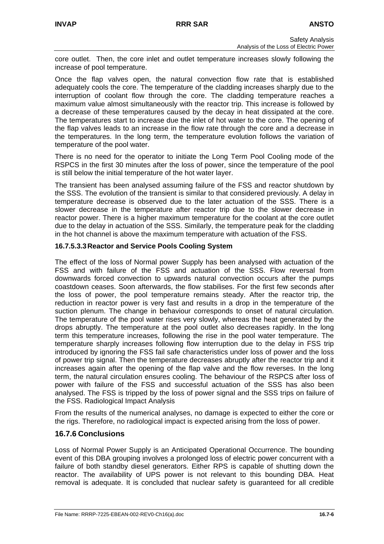core outlet. Then, the core inlet and outlet temperature increases slowly following the increase of pool temperature.

Once the flap valves open, the natural convection flow rate that is established adequately cools the core. The temperature of the cladding increases sharply due to the interruption of coolant flow through the core. The cladding temperature reaches a maximum value almost simultaneously with the reactor trip. This increase is followed by a decrease of these temperatures caused by the decay in heat dissipated at the core. The temperatures start to increase due the inlet of hot water to the core. The opening of the flap valves leads to an increase in the flow rate through the core and a decrease in the temperatures. In the long term, the temperature evolution follows the variation of temperature of the pool water.

There is no need for the operator to initiate the Long Term Pool Cooling mode of the RSPCS in the first 30 minutes after the loss of power, since the temperature of the pool is still below the initial temperature of the hot water layer.

The transient has been analysed assuming failure of the FSS and reactor shutdown by the SSS. The evolution of the transient is similar to that considered previously. A delay in temperature decrease is observed due to the later actuation of the SSS. There is a slower decrease in the temperature after reactor trip due to the slower decrease in reactor power. There is a higher maximum temperature for the coolant at the core outlet due to the delay in actuation of the SSS. Similarly, the temperature peak for the cladding in the hot channel is above the maximum temperature with actuation of the FSS.

#### **16.7.5.3.3 Reactor and Service Pools Cooling System**

The effect of the loss of Normal power Supply has been analysed with actuation of the FSS and with failure of the FSS and actuation of the SSS. Flow reversal from downwards forced convection to upwards natural convection occurs after the pumps coastdown ceases. Soon afterwards, the flow stabilises. For the first few seconds after the loss of power, the pool temperature remains steady. After the reactor trip, the reduction in reactor power is very fast and results in a drop in the temperature of the suction plenum. The change in behaviour corresponds to onset of natural circulation. The temperature of the pool water rises very slowly, whereas the heat generated by the drops abruptly. The temperature at the pool outlet also decreases rapidly. In the long term this temperature increases, following the rise in the pool water temperature. The temperature sharply increases following flow interruption due to the delay in FSS trip introduced by ignoring the FSS fail safe characteristics under loss of power and the loss of power trip signal. Then the temperature decreases abruptly after the reactor trip and it increases again after the opening of the flap valve and the flow reverses. In the long term, the natural circulation ensures cooling. The behaviour of the RSPCS after loss of power with failure of the FSS and successful actuation of the SSS has also been analysed. The FSS is tripped by the loss of power signal and the SSS trips on failure of the FSS. Radiological Impact Analysis

From the results of the numerical analyses, no damage is expected to either the core or the rigs. Therefore, no radiological impact is expected arising from the loss of power.

## **16.7.6 Conclusions**

Loss of Normal Power Supply is an Anticipated Operational Occurrence. The bounding event of this DBA grouping involves a prolonged loss of electric power concurrent with a failure of both standby diesel generators. Either RPS is capable of shutting down the reactor. The availability of UPS power is not relevant to this bounding DBA. Heat removal is adequate. It is concluded that nuclear safety is guaranteed for all credible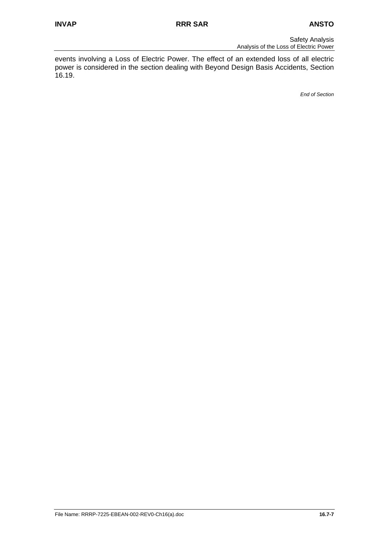events involving a Loss of Electric Power. The effect of an extended loss of all electric power is considered in the section dealing with Beyond Design Basis Accidents, Section 16.19.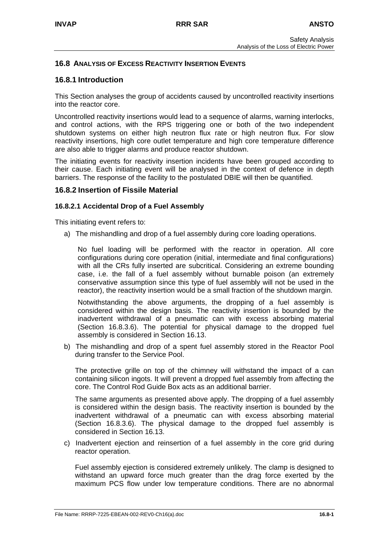## **16.8 ANALYSIS OF EXCESS REACTIVITY INSERTION EVENTS**

## **16.8.1 Introduction**

This Section analyses the group of accidents caused by uncontrolled reactivity insertions into the reactor core.

Uncontrolled reactivity insertions would lead to a sequence of alarms, warning interlocks, and control actions, with the RPS triggering one or both of the two independent shutdown systems on either high neutron flux rate or high neutron flux. For slow reactivity insertions, high core outlet temperature and high core temperature difference are also able to trigger alarms and produce reactor shutdown.

The initiating events for reactivity insertion incidents have been grouped according to their cause. Each initiating event will be analysed in the context of defence in depth barriers. The response of the facility to the postulated DBIE will then be quantified.

## **16.8.2 Insertion of Fissile Material**

#### **16.8.2.1 Accidental Drop of a Fuel Assembly**

This initiating event refers to:

a) The mishandling and drop of a fuel assembly during core loading operations.

No fuel loading will be performed with the reactor in operation. All core configurations during core operation (initial, intermediate and final configurations) with all the CRs fully inserted are subcritical. Considering an extreme bounding case, i.e. the fall of a fuel assembly without burnable poison (an extremely conservative assumption since this type of fuel assembly will not be used in the reactor), the reactivity insertion would be a small fraction of the shutdown margin.

Notwithstanding the above arguments, the dropping of a fuel assembly is considered within the design basis. The reactivity insertion is bounded by the inadvertent withdrawal of a pneumatic can with excess absorbing material (Section 16.8.3.6). The potential for physical damage to the dropped fuel assembly is considered in Section 16.13.

b) The mishandling and drop of a spent fuel assembly stored in the Reactor Pool during transfer to the Service Pool.

The protective grille on top of the chimney will withstand the impact of a can containing silicon ingots. It will prevent a dropped fuel assembly from affecting the core. The Control Rod Guide Box acts as an additional barrier.

The same arguments as presented above apply. The dropping of a fuel assembly is considered within the design basis. The reactivity insertion is bounded by the inadvertent withdrawal of a pneumatic can with excess absorbing material (Section 16.8.3.6). The physical damage to the dropped fuel assembly is considered in Section 16.13.

c) Inadvertent ejection and reinsertion of a fuel assembly in the core grid during reactor operation.

Fuel assembly ejection is considered extremely unlikely. The clamp is designed to withstand an upward force much greater than the drag force exerted by the maximum PCS flow under low temperature conditions. There are no abnormal

File Name: RRRP-7225-EBEAN-002-REV0-Ch16(a).doc **16.8-1**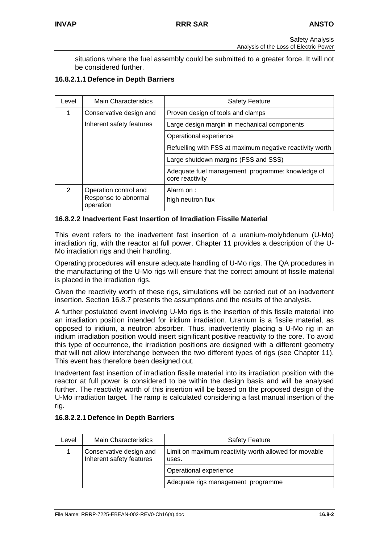situations where the fuel assembly could be submitted to a greater force. It will not be considered further.

## **16.8.2.1.1 Defence in Depth Barriers**

| Level         | <b>Main Characteristics</b>                                | <b>Safety Feature</b>                                               |  |  |  |
|---------------|------------------------------------------------------------|---------------------------------------------------------------------|--|--|--|
| 1             | Conservative design and                                    | Proven design of tools and clamps                                   |  |  |  |
|               | Inherent safety features                                   | Large design margin in mechanical components                        |  |  |  |
|               |                                                            | Operational experience                                              |  |  |  |
|               |                                                            | Refuelling with FSS at maximum negative reactivity worth            |  |  |  |
|               |                                                            | Large shutdown margins (FSS and SSS)                                |  |  |  |
|               |                                                            | Adequate fuel management programme: knowledge of<br>core reactivity |  |  |  |
| $\mathcal{P}$ | Operation control and<br>Response to abnormal<br>operation | Alarm on:<br>high neutron flux                                      |  |  |  |

#### **16.8.2.2 Inadvertent Fast Insertion of Irradiation Fissile Material**

This event refers to the inadvertent fast insertion of a uranium-molybdenum (U-Mo) irradiation rig, with the reactor at full power. Chapter 11 provides a description of the U-Mo irradiation rigs and their handling.

Operating procedures will ensure adequate handling of U-Mo rigs. The QA procedures in the manufacturing of the U-Mo rigs will ensure that the correct amount of fissile material is placed in the irradiation rigs.

Given the reactivity worth of these rigs, simulations will be carried out of an inadvertent insertion. Section 16.8.7 presents the assumptions and the results of the analysis.

A further postulated event involving U-Mo rigs is the insertion of this fissile material into an irradiation position intended for iridium irradiation. Uranium is a fissile material, as opposed to iridium, a neutron absorber. Thus, inadvertently placing a U-Mo rig in an iridium irradiation position would insert significant positive reactivity to the core. To avoid this type of occurrence, the irradiation positions are designed with a different geometry that will not allow interchange between the two different types of rigs (see Chapter 11). This event has therefore been designed out.

Inadvertent fast insertion of irradiation fissile material into its irradiation position with the reactor at full power is considered to be within the design basis and will be analysed further. The reactivity worth of this insertion will be based on the proposed design of the U-Mo irradiation target. The ramp is calculated considering a fast manual insertion of the rig.

## **16.8.2.2.1 Defence in Depth Barriers**

| Level | <b>Main Characteristics</b>                         | <b>Safety Feature</b>                                          |
|-------|-----------------------------------------------------|----------------------------------------------------------------|
|       | Conservative design and<br>Inherent safety features | Limit on maximum reactivity worth allowed for movable<br>uses. |
|       |                                                     | Operational experience                                         |
|       |                                                     | Adequate rigs management programme                             |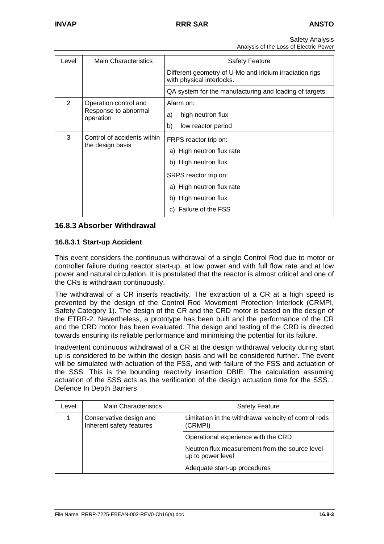Safety Analysis

| Analysis of the Loss of Electric Power |  |
|----------------------------------------|--|
|                                        |  |

| Level          | <b>Main Characteristics</b>                     | <b>Safety Feature</b>                                                                               |  |  |  |  |
|----------------|-------------------------------------------------|-----------------------------------------------------------------------------------------------------|--|--|--|--|
|                |                                                 | Different geometry of U-Mo and iridium irradiation rigs<br>with physical interlocks.                |  |  |  |  |
|                |                                                 | QA system for the manufacturing and loading of targets.                                             |  |  |  |  |
| $\overline{2}$ | Operation control and                           | Alarm on:                                                                                           |  |  |  |  |
|                | Response to abnormal<br>operation               | high neutron flux<br>a)                                                                             |  |  |  |  |
|                |                                                 | b)<br>low reactor period                                                                            |  |  |  |  |
| 3              | Control of accidents within<br>the design basis | FRPS reactor trip on:<br>a) High neutron flux rate<br>b) High neutron flux<br>SRPS reactor trip on: |  |  |  |  |
|                |                                                 | a) High neutron flux rate<br>b) High neutron flux<br>Failure of the FSS<br>C)                       |  |  |  |  |

#### **16.8.3 Absorber Withdrawal**

#### **16.8.3.1 Start-up Accident**

This event considers the continuous withdrawal of a single Control Rod due to motor or controller failure during reactor start-up, at low power and with full flow rate and at low power and natural circulation. It is postulated that the reactor is almost critical and one of the CRs is withdrawn continuously.

The withdrawal of a CR inserts reactivity. The extraction of a CR at a high speed is prevented by the design of the Control Rod Movement Protection Interlock (CRMPI, Safety Category 1). The design of the CR and the CRD motor is based on the design of the ETRR-2. Nevertheless, a prototype has been built and the performance of the CR and the CRD motor has been evaluated. The design and testing of the CRD is directed towards ensuring its reliable performance and minimising the potential for its failure.

Inadvertent continuous withdrawal of a CR at the design withdrawal velocity during start up is considered to be within the design basis and will be considered further. The event will be simulated with actuation of the FSS, and with failure of the FSS and actuation of the SSS. This is the bounding reactivity insertion DBIE. The calculation assuming actuation of the SSS acts as the verification of the design actuation time for the SSS. . Defence In Depth Barriers

| Level | <b>Main Characteristics</b>                         | <b>Safety Feature</b>                                               |  |  |  |  |
|-------|-----------------------------------------------------|---------------------------------------------------------------------|--|--|--|--|
|       | Conservative design and<br>Inherent safety features | Limitation in the withdrawal velocity of control rods<br>(CRMPI)    |  |  |  |  |
|       |                                                     | Operational experience with the CRD                                 |  |  |  |  |
|       |                                                     | Neutron flux measurement from the source level<br>up to power level |  |  |  |  |
|       |                                                     | Adequate start-up procedures                                        |  |  |  |  |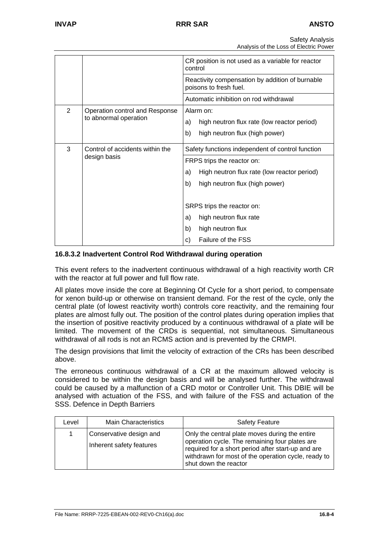|                |                                                 | CR position is not used as a variable for reactor<br>control<br>Reactivity compensation by addition of burnable<br>poisons to fresh fuel. |  |  |  |  |
|----------------|-------------------------------------------------|-------------------------------------------------------------------------------------------------------------------------------------------|--|--|--|--|
|                |                                                 |                                                                                                                                           |  |  |  |  |
|                |                                                 | Automatic inhibition on rod withdrawal                                                                                                    |  |  |  |  |
| $\overline{2}$ | Operation control and Response                  | Alarm on:                                                                                                                                 |  |  |  |  |
|                | to abnormal operation                           | high neutron flux rate (low reactor period)<br>a)                                                                                         |  |  |  |  |
|                |                                                 | b)<br>high neutron flux (high power)                                                                                                      |  |  |  |  |
| 3              | Control of accidents within the<br>design basis | Safety functions independent of control function                                                                                          |  |  |  |  |
|                |                                                 | FRPS trips the reactor on:                                                                                                                |  |  |  |  |
|                |                                                 | High neutron flux rate (low reactor period)<br>a)                                                                                         |  |  |  |  |
|                |                                                 | b)<br>high neutron flux (high power)                                                                                                      |  |  |  |  |
|                |                                                 |                                                                                                                                           |  |  |  |  |
|                |                                                 | SRPS trips the reactor on:                                                                                                                |  |  |  |  |
|                |                                                 | high neutron flux rate<br>a)                                                                                                              |  |  |  |  |
|                |                                                 | b)<br>high neutron flux                                                                                                                   |  |  |  |  |
|                |                                                 | Failure of the FSS<br>C)                                                                                                                  |  |  |  |  |

#### **16.8.3.2 Inadvertent Control Rod Withdrawal during operation**

This event refers to the inadvertent continuous withdrawal of a high reactivity worth CR with the reactor at full power and full flow rate.

All plates move inside the core at Beginning Of Cycle for a short period, to compensate for xenon build-up or otherwise on transient demand. For the rest of the cycle, only the central plate (of lowest reactivity worth) controls core reactivity, and the remaining four plates are almost fully out. The position of the control plates during operation implies that the insertion of positive reactivity produced by a continuous withdrawal of a plate will be limited. The movement of the CRDs is sequential, not simultaneous. Simultaneous withdrawal of all rods is not an RCMS action and is prevented by the CRMPI.

The design provisions that limit the velocity of extraction of the CRs has been described above.

The erroneous continuous withdrawal of a CR at the maximum allowed velocity is considered to be within the design basis and will be analysed further. The withdrawal could be caused by a malfunction of a CRD motor or Controller Unit. This DBIE will be analysed with actuation of the FSS, and with failure of the FSS and actuation of the SSS. Defence in Depth Barriers

| Level | <b>Main Characteristics</b>                         | <b>Safety Feature</b>                                                                                                                                                                                                                  |
|-------|-----------------------------------------------------|----------------------------------------------------------------------------------------------------------------------------------------------------------------------------------------------------------------------------------------|
|       | Conservative design and<br>Inherent safety features | Only the central plate moves during the entire<br>operation cycle. The remaining four plates are<br>required for a short period after start-up and are<br>withdrawn for most of the operation cycle, ready to<br>shut down the reactor |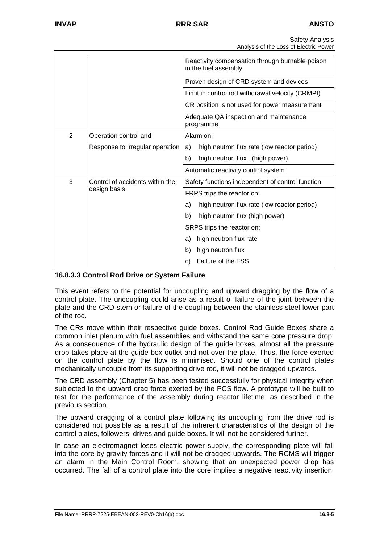Safety Analysis Analysis of the Loss of Electric Power

|                |                                 | Reactivity compensation through burnable poison<br>in the fuel assembly. |  |  |  |  |  |
|----------------|---------------------------------|--------------------------------------------------------------------------|--|--|--|--|--|
|                |                                 | Proven design of CRD system and devices                                  |  |  |  |  |  |
|                |                                 | Limit in control rod withdrawal velocity (CRMPI)                         |  |  |  |  |  |
|                |                                 | CR position is not used for power measurement                            |  |  |  |  |  |
|                |                                 | Adequate QA inspection and maintenance<br>programme                      |  |  |  |  |  |
| $\overline{2}$ | Operation control and           | Alarm on:                                                                |  |  |  |  |  |
|                | Response to irregular operation | high neutron flux rate (low reactor period)<br>a)                        |  |  |  |  |  |
|                |                                 | high neutron flux . (high power)<br>b)                                   |  |  |  |  |  |
|                |                                 | Automatic reactivity control system                                      |  |  |  |  |  |
| 3              | Control of accidents within the | Safety functions independent of control function                         |  |  |  |  |  |
|                | design basis                    | FRPS trips the reactor on:                                               |  |  |  |  |  |
|                |                                 | high neutron flux rate (low reactor period)<br>a)                        |  |  |  |  |  |
|                |                                 | high neutron flux (high power)<br>b)                                     |  |  |  |  |  |
|                |                                 | SRPS trips the reactor on:                                               |  |  |  |  |  |
|                |                                 | high neutron flux rate<br>a)                                             |  |  |  |  |  |
|                |                                 | high neutron flux<br>b)                                                  |  |  |  |  |  |
|                |                                 | Failure of the FSS<br>C)                                                 |  |  |  |  |  |

## **16.8.3.3 Control Rod Drive or System Failure**

This event refers to the potential for uncoupling and upward dragging by the flow of a control plate. The uncoupling could arise as a result of failure of the joint between the plate and the CRD stem or failure of the coupling between the stainless steel lower part of the rod.

The CRs move within their respective guide boxes. Control Rod Guide Boxes share a common inlet plenum with fuel assemblies and withstand the same core pressure drop. As a consequence of the hydraulic design of the guide boxes, almost all the pressure drop takes place at the guide box outlet and not over the plate. Thus, the force exerted on the control plate by the flow is minimised. Should one of the control plates mechanically uncouple from its supporting drive rod, it will not be dragged upwards.

The CRD assembly (Chapter 5) has been tested successfully for physical integrity when subjected to the upward drag force exerted by the PCS flow. A prototype will be built to test for the performance of the assembly during reactor lifetime, as described in the previous section.

The upward dragging of a control plate following its uncoupling from the drive rod is considered not possible as a result of the inherent characteristics of the design of the control plates, followers, drives and guide boxes. It will not be considered further.

In case an electromagnet loses electric power supply, the corresponding plate will fall into the core by gravity forces and it will not be dragged upwards. The RCMS will trigger an alarm in the Main Control Room, showing that an unexpected power drop has occurred. The fall of a control plate into the core implies a negative reactivity insertion;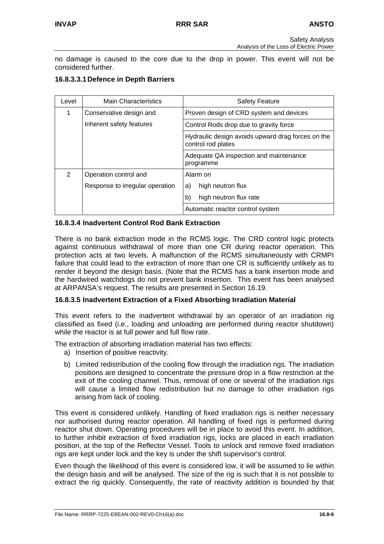no damage is caused to the core due to the drop in power. This event will not be considered further.

## **16.8.3.3.1 Defence in Depth Barriers**

| Level          | <b>Main Characteristics</b>     | <b>Safety Feature</b>                                                   |  |  |  |  |
|----------------|---------------------------------|-------------------------------------------------------------------------|--|--|--|--|
| 1              | Conservative design and         | Proven design of CRD system and devices                                 |  |  |  |  |
|                | Inherent safety features        | Control Rods drop due to gravity force                                  |  |  |  |  |
|                |                                 | Hydraulic design avoids upward drag forces on the<br>control rod plates |  |  |  |  |
|                |                                 | Adequate QA inspection and maintenance<br>programme                     |  |  |  |  |
| $\overline{2}$ | Operation control and           | Alarm on                                                                |  |  |  |  |
|                | Response to irregular operation | high neutron flux<br>a)                                                 |  |  |  |  |
|                |                                 | high neutron flux rate<br>b)                                            |  |  |  |  |
|                |                                 | Automatic reactor control system                                        |  |  |  |  |

#### **16.8.3.4 Inadvertent Control Rod Bank Extraction**

There is no bank extraction mode in the RCMS logic. The CRD control logic protects against continuous withdrawal of more than one CR during reactor operation. This protection acts at two levels. A malfunction of the RCMS simultaneously with CRMPI failure that could lead to the extraction of more than one CR is sufficiently unlikely as to render it beyond the design basis. (Note that the RCMS has a bank insertion mode and the hardwired watchdogs do not prevent bank insertion. This event has been analysed at ARPANSA's request. The results are presented in Section 16.19.

#### **16.8.3.5 Inadvertent Extraction of a Fixed Absorbing Irradiation Material**

This event refers to the inadvertent withdrawal by an operator of an irradiation rig classified as fixed (i.e., loading and unloading are performed during reactor shutdown) while the reactor is at full power and full flow rate.

The extraction of absorbing irradiation material has two effects:

- a) Insertion of positive reactivity.
- b) Limited redistribution of the cooling flow through the irradiation rigs. The irradiation positions are designed to concentrate the pressure drop in a flow restriction at the exit of the cooling channel. Thus, removal of one or several of the irradiation rigs will cause a limited flow redistribution but no damage to other irradiation rigs arising from lack of cooling.

This event is considered unlikely. Handling of fixed irradiation rigs is neither necessary nor authorised during reactor operation. All handling of fixed rigs is performed during reactor shut down. Operating procedures will be in place to avoid this event. In addition, to further inhibit extraction of fixed irradiation rigs, locks are placed in each irradiation position, at the top of the Reflector Vessel. Tools to unlock and remove fixed irradiation rigs are kept under lock and the key is under the shift supervisor's control.

Even though the likelihood of this event is considered low, it will be assumed to lie within the design basis and will be analysed. The size of the rig is such that it is not possible to extract the rig quickly. Consequently, the rate of reactivity addition is bounded by that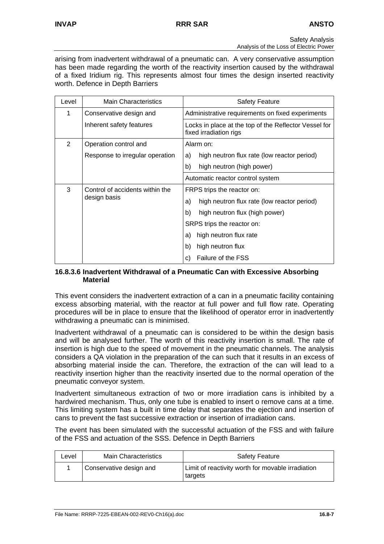arising from inadvertent withdrawal of a pneumatic can. A very conservative assumption has been made regarding the worth of the reactivity insertion caused by the withdrawal of a fixed Iridium rig. This represents almost four times the design inserted reactivity worth. Defence in Depth Barriers

| Level          | <b>Main Characteristics</b>     | <b>Safety Feature</b>                                                           |  |  |  |  |
|----------------|---------------------------------|---------------------------------------------------------------------------------|--|--|--|--|
| 1              | Conservative design and         | Administrative requirements on fixed experiments                                |  |  |  |  |
|                | Inherent safety features        | Locks in place at the top of the Reflector Vessel for<br>fixed irradiation rigs |  |  |  |  |
| $\overline{2}$ | Operation control and           | Alarm on:                                                                       |  |  |  |  |
|                | Response to irregular operation | high neutron flux rate (low reactor period)<br>a)                               |  |  |  |  |
|                |                                 | b)<br>high neutron (high power)                                                 |  |  |  |  |
|                |                                 | Automatic reactor control system                                                |  |  |  |  |
| 3              | Control of accidents within the | FRPS trips the reactor on:                                                      |  |  |  |  |
|                | design basis                    | high neutron flux rate (low reactor period)<br>a)                               |  |  |  |  |
|                |                                 | b)<br>high neutron flux (high power)                                            |  |  |  |  |
|                |                                 | SRPS trips the reactor on:                                                      |  |  |  |  |
|                |                                 | a) high neutron flux rate                                                       |  |  |  |  |
|                |                                 | high neutron flux<br>b)                                                         |  |  |  |  |
|                |                                 | <b>Failure of the FSS</b><br>C)                                                 |  |  |  |  |

#### **16.8.3.6 Inadvertent Withdrawal of a Pneumatic Can with Excessive Absorbing Material**

This event considers the inadvertent extraction of a can in a pneumatic facility containing excess absorbing material, with the reactor at full power and full flow rate. Operating procedures will be in place to ensure that the likelihood of operator error in inadvertently withdrawing a pneumatic can is minimised.

Inadvertent withdrawal of a pneumatic can is considered to be within the design basis and will be analysed further. The worth of this reactivity insertion is small. The rate of insertion is high due to the speed of movement in the pneumatic channels. The analysis considers a QA violation in the preparation of the can such that it results in an excess of absorbing material inside the can. Therefore, the extraction of the can will lead to a reactivity insertion higher than the reactivity inserted due to the normal operation of the pneumatic conveyor system.

Inadvertent simultaneous extraction of two or more irradiation cans is inhibited by a hardwired mechanism. Thus, only one tube is enabled to insert o remove cans at a time. This limiting system has a built in time delay that separates the ejection and insertion of cans to prevent the fast successive extraction or insertion of irradiation cans.

The event has been simulated with the successful actuation of the FSS and with failure of the FSS and actuation of the SSS. Defence in Depth Barriers

| Level | <b>Main Characteristics</b> | <b>Safety Feature</b>                                        |
|-------|-----------------------------|--------------------------------------------------------------|
|       | Conservative design and     | Limit of reactivity worth for movable irradiation<br>targets |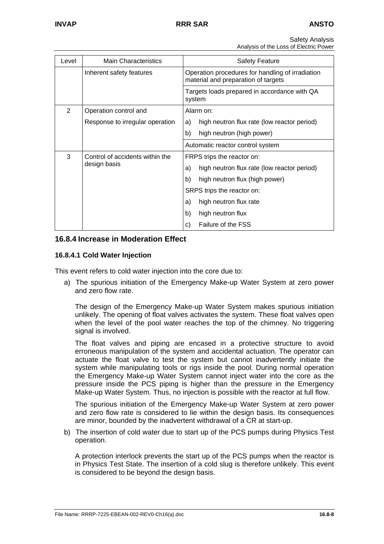Safety Analysis

Analysis of the Loss of Electric Power

| Level          | <b>Main Characteristics</b>     | <b>Safety Feature</b>                                                                   |  |  |  |  |  |
|----------------|---------------------------------|-----------------------------------------------------------------------------------------|--|--|--|--|--|
|                | Inherent safety features        | Operation procedures for handling of irradiation<br>material and preparation of targets |  |  |  |  |  |
|                |                                 | Targets loads prepared in accordance with QA<br>system                                  |  |  |  |  |  |
| $\overline{2}$ | Operation control and           | Alarm on:                                                                               |  |  |  |  |  |
|                | Response to irregular operation | high neutron flux rate (low reactor period)<br>a)                                       |  |  |  |  |  |
|                |                                 | b)<br>high neutron (high power)                                                         |  |  |  |  |  |
|                |                                 | Automatic reactor control system                                                        |  |  |  |  |  |
| 3              | Control of accidents within the | FRPS trips the reactor on:                                                              |  |  |  |  |  |
|                | design basis                    | high neutron flux rate (low reactor period)<br>a)                                       |  |  |  |  |  |
|                |                                 | high neutron flux (high power)<br>b)                                                    |  |  |  |  |  |
|                |                                 | SRPS trips the reactor on:                                                              |  |  |  |  |  |
|                |                                 | high neutron flux rate<br>a)                                                            |  |  |  |  |  |
|                |                                 | b)<br>high neutron flux                                                                 |  |  |  |  |  |
|                |                                 | Failure of the FSS<br>C)                                                                |  |  |  |  |  |

## **16.8.4 Increase in Moderation Effect**

## **16.8.4.1 Cold Water Injection**

This event refers to cold water injection into the core due to:

a) The spurious initiation of the Emergency Make-up Water System at zero power and zero flow rate.

The design of the Emergency Make-up Water System makes spurious initiation unlikely. The opening of float valves activates the system. These float valves open when the level of the pool water reaches the top of the chimney. No triggering signal is involved.

The float valves and piping are encased in a protective structure to avoid erroneous manipulation of the system and accidental actuation. The operator can actuate the float valve to test the system but cannot inadvertently initiate the system while manipulating tools or rigs inside the pool. During normal operation the Emergency Make-up Water System cannot inject water into the core as the pressure inside the PCS piping is higher than the pressure in the Emergency Make-up Water System. Thus, no injection is possible with the reactor at full flow.

The spurious initiation of the Emergency Make-up Water System at zero power and zero flow rate is considered to lie within the design basis. Its consequences are minor, bounded by the inadvertent withdrawal of a CR at start-up.

b) The insertion of cold water due to start up of the PCS pumps during Physics Test operation.

A protection interlock prevents the start up of the PCS pumps when the reactor is in Physics Test State. The insertion of a cold slug is therefore unlikely. This event is considered to be beyond the design basis.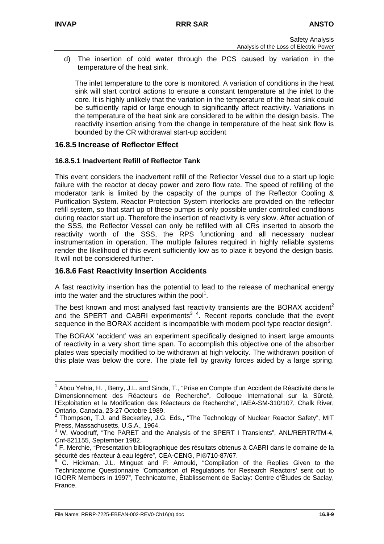d) The insertion of cold water through the PCS caused by variation in the temperature of the heat sink.

The inlet temperature to the core is monitored. A variation of conditions in the heat sink will start control actions to ensure a constant temperature at the inlet to the core. It is highly unlikely that the variation in the temperature of the heat sink could be sufficiently rapid or large enough to significantly affect reactivity. Variations in the temperature of the heat sink are considered to be within the design basis. The reactivity insertion arising from the change in temperature of the heat sink flow is bounded by the CR withdrawal start-up accident

## **16.8.5 Increase of Reflector Effect**

## **16.8.5.1 Inadvertent Refill of Reflector Tank**

This event considers the inadvertent refill of the Reflector Vessel due to a start up logic failure with the reactor at decay power and zero flow rate. The speed of refilling of the moderator tank is limited by the capacity of the pumps of the Reflector Cooling & Purification System. Reactor Protection System interlocks are provided on the reflector refill system, so that start up of these pumps is only possible under controlled conditions during reactor start up. Therefore the insertion of reactivity is very slow. After actuation of the SSS, the Reflector Vessel can only be refilled with all CRs inserted to absorb the reactivity worth of the SSS, the RPS functioning and all necessary nuclear instrumentation in operation. The multiple failures required in highly reliable systems render the likelihood of this event sufficiently low as to place it beyond the design basis. It will not be considered further.

## **16.8.6 Fast Reactivity Insertion Accidents**

A fast reactivity insertion has the potential to lead to the release of mechanical energy into the water and the structures within the pool<sup>[1](#page-34-0)</sup>.

The best known and most analysed fast reactivity transients are the BORAX accident<sup>[2](#page-34-1)</sup> and the SPERT and CABRI experiments<sup>3</sup><sup>4</sup>[.](#page-34-3) Recent reports conclude that the event sequence in the BORAX accident is incom[pa](#page-34-2)tible with modern pool type reactor design<sup>5</sup>[.](#page-34-4)

The BORAX 'accident' was an experiment specifically designed to insert large amounts of reactivity in a very short time span. To accomplish this objective one of the absorber plates was specially modified to be withdrawn at high velocity. The withdrawn position of this plate was below the core. The plate fell by gravity forces aided by a large spring.

<span id="page-34-0"></span> <sup>1</sup> Abou Yehia, H. , Berry, J.L. and Sinda, T., "Prise en Compte d'un Accident de Réactivité dans le Dimensionnement des Réacteurs de Recherche", Colloque International sur la Sûreté, l'Exploitation et la Modification des Réacteurs de Recherche", IAEA-SM-310/107, Chalk River,

<span id="page-34-1"></span>Ontario, Canada, 23-27 Octobre 1989.<br><sup>2</sup> Thompson, T.J. and Beckerley, J.G. Eds., "The Technology of Nuclear Reactor Safety", MIT Press, Massachusetts, U.S.A., 1964.<br><sup>3</sup> W. Weedruff. "The BABET and the

<span id="page-34-2"></span>W. Woodruff, "The PARET and the Analysis of the SPERT I Transients", ANL/RERTR/TM-4, Cnf-821155, September 1982.

<span id="page-34-3"></span><sup>&</sup>lt;sup>4</sup> F. Merchie, "Presentation bibliographique des résultats obtenus à CABRI dans le domaine de la sécurité des réacteur à eau légère", CEA-CENG, Pi®710-87/67.

<span id="page-34-4"></span><sup>5</sup> C. Hickman, J.L. Minguet and F: Arnould, "Compilation of the Replies Given to the Technicatome Questionnaire 'Comparison of Regulations for Research Reactors' sent out to IGORR Members in 1997", Technicatome, Établissement de Saclay: Centre d'Êtudes de Saclay, France.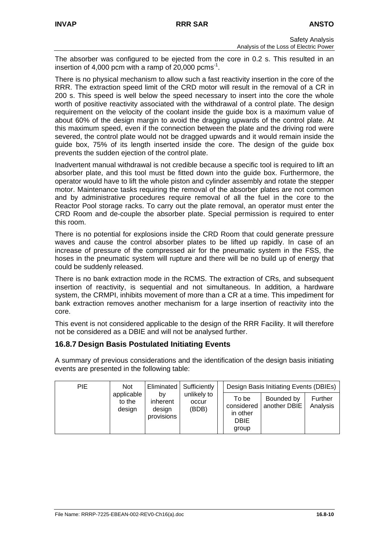The absorber was configured to be ejected from the core in 0.2 s. This resulted in an insertion of 4,000 pcm with a ramp of 20,000 pcms<sup>-1</sup>.

There is no physical mechanism to allow such a fast reactivity insertion in the core of the RRR. The extraction speed limit of the CRD motor will result in the removal of a CR in 200 s. This speed is well below the speed necessary to insert into the core the whole worth of positive reactivity associated with the withdrawal of a control plate. The design requirement on the velocity of the coolant inside the guide box is a maximum value of about 60% of the design margin to avoid the dragging upwards of the control plate. At this maximum speed, even if the connection between the plate and the driving rod were severed, the control plate would not be dragged upwards and it would remain inside the guide box, 75% of its length inserted inside the core. The design of the guide box prevents the sudden ejection of the control plate.

Inadvertent manual withdrawal is not credible because a specific tool is required to lift an absorber plate, and this tool must be fitted down into the guide box. Furthermore, the operator would have to lift the whole piston and cylinder assembly and rotate the stepper motor. Maintenance tasks requiring the removal of the absorber plates are not common and by administrative procedures require removal of all the fuel in the core to the Reactor Pool storage racks. To carry out the plate removal, an operator must enter the CRD Room and de-couple the absorber plate. Special permission is required to enter this room.

There is no potential for explosions inside the CRD Room that could generate pressure waves and cause the control absorber plates to be lifted up rapidly. In case of an increase of pressure of the compressed air for the pneumatic system in the FSS, the hoses in the pneumatic system will rupture and there will be no build up of energy that could be suddenly released.

There is no bank extraction mode in the RCMS. The extraction of CRs, and subsequent insertion of reactivity, is sequential and not simultaneous. In addition, a hardware system, the CRMPI, inhibits movement of more than a CR at a time. This impediment for bank extraction removes another mechanism for a large insertion of reactivity into the core.

This event is not considered applicable to the design of the RRR Facility. It will therefore not be considered as a DBIE and will not be analysed further.

## **16.8.7 Design Basis Postulated Initiating Events**

A summary of previous considerations and the identification of the design basis initiating events are presented in the following table:

| <b>PIE</b> | <b>Not</b>                     |                                        | Eliminated   Sufficiently     | Design Basis Initiating Events (DBIEs)                  |                            |                     |
|------------|--------------------------------|----------------------------------------|-------------------------------|---------------------------------------------------------|----------------------------|---------------------|
|            | applicable<br>to the<br>design | b٧<br>inherent<br>design<br>provisions | unlikely to<br>occur<br>(BDB) | To be<br>considered<br>in other<br><b>DBIE</b><br>group | Bounded by<br>another DBIE | Further<br>Analysis |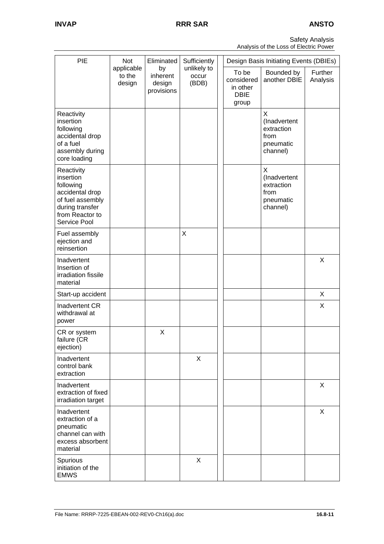Safety Analysis Analysis of the Loss of Electric Power

| PIE                                                                                                                               | Eliminated<br>Not              |                                        | Sufficiently                  | Design Basis Initiating Events (DBIEs) |                                                         |                                                                  |                     |
|-----------------------------------------------------------------------------------------------------------------------------------|--------------------------------|----------------------------------------|-------------------------------|----------------------------------------|---------------------------------------------------------|------------------------------------------------------------------|---------------------|
|                                                                                                                                   | applicable<br>to the<br>design | by<br>inherent<br>design<br>provisions | unlikely to<br>occur<br>(BDB) |                                        | To be<br>considered<br>in other<br><b>DBIE</b><br>group | Bounded by<br>another DBIE                                       | Further<br>Analysis |
| Reactivity<br>insertion<br>following<br>accidental drop<br>of a fuel<br>assembly during<br>core loading                           |                                |                                        |                               |                                        |                                                         | X<br>(Inadvertent<br>extraction<br>from<br>pneumatic<br>channel) |                     |
| Reactivity<br>insertion<br>following<br>accidental drop<br>of fuel assembly<br>during transfer<br>from Reactor to<br>Service Pool |                                |                                        |                               |                                        |                                                         | X<br>(Inadvertent<br>extraction<br>from<br>pneumatic<br>channel) |                     |
| Fuel assembly<br>ejection and<br>reinsertion                                                                                      |                                |                                        | X                             |                                        |                                                         |                                                                  |                     |
| Inadvertent<br>Insertion of<br>irradiation fissile<br>material                                                                    |                                |                                        |                               |                                        |                                                         |                                                                  | X                   |
| Start-up accident                                                                                                                 |                                |                                        |                               |                                        |                                                         |                                                                  | X                   |
| Inadvertent CR<br>withdrawal at<br>power                                                                                          |                                |                                        |                               |                                        |                                                         |                                                                  | X                   |
| CR or system<br>failure (CR<br>ejection)                                                                                          |                                | X                                      |                               |                                        |                                                         |                                                                  |                     |
| Inadvertent<br>control bank<br>extraction                                                                                         |                                |                                        | X                             |                                        |                                                         |                                                                  |                     |
| Inadvertent<br>extraction of fixed<br>irradiation target                                                                          |                                |                                        |                               |                                        |                                                         |                                                                  | X                   |
| Inadvertent<br>extraction of a<br>pneumatic<br>channel can with<br>excess absorbent<br>material                                   |                                |                                        |                               |                                        |                                                         |                                                                  | X                   |
| Spurious<br>initiation of the<br><b>EMWS</b>                                                                                      |                                |                                        | X                             |                                        |                                                         |                                                                  |                     |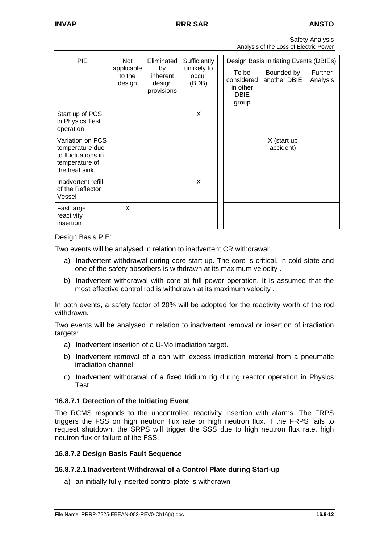| <b>Safety Analysis</b>                 |  |
|----------------------------------------|--|
| Analysis of the Loss of Electric Power |  |

| <b>PIE</b>                                                                                   | Not<br>applicable<br>to the<br>design | Eliminated<br>by<br>inherent<br>design<br>provisions | Sufficiently<br>unlikely to<br>occur<br>(BDB) |  | Design Basis Initiating Events (DBIEs)                  |                            |                     |
|----------------------------------------------------------------------------------------------|---------------------------------------|------------------------------------------------------|-----------------------------------------------|--|---------------------------------------------------------|----------------------------|---------------------|
|                                                                                              |                                       |                                                      |                                               |  | To be<br>considered<br>in other<br><b>DBIE</b><br>group | Bounded by<br>another DBIE | Further<br>Analysis |
| Start up of PCS<br>in Physics Test<br>operation                                              |                                       |                                                      | X                                             |  |                                                         |                            |                     |
| Variation on PCS<br>temperature due<br>to fluctuations in<br>temperature of<br>the heat sink |                                       |                                                      |                                               |  |                                                         | X (start up<br>accident)   |                     |
| Inadvertent refill<br>of the Reflector<br>Vessel                                             |                                       |                                                      | X                                             |  |                                                         |                            |                     |
| Fast large<br>reactivity<br>insertion                                                        | X                                     |                                                      |                                               |  |                                                         |                            |                     |

#### Design Basis PIE:

Two events will be analysed in relation to inadvertent CR withdrawal:

- a) Inadvertent withdrawal during core start-up. The core is critical, in cold state and one of the safety absorbers is withdrawn at its maximum velocity .
- b) Inadvertent withdrawal with core at full power operation. It is assumed that the most effective control rod is withdrawn at its maximum velocity .

In both events, a safety factor of 20% will be adopted for the reactivity worth of the rod withdrawn.

Two events will be analysed in relation to inadvertent removal or insertion of irradiation targets:

- a) Inadvertent insertion of a U-Mo irradiation target.
- b) Inadvertent removal of a can with excess irradiation material from a pneumatic irradiation channel
- c) Inadvertent withdrawal of a fixed Iridium rig during reactor operation in Physics Test

#### **16.8.7.1 Detection of the Initiating Event**

The RCMS responds to the uncontrolled reactivity insertion with alarms. The FRPS triggers the FSS on high neutron flux rate or high neutron flux. If the FRPS fails to request shutdown, the SRPS will trigger the SSS due to high neutron flux rate, high neutron flux or failure of the FSS.

#### **16.8.7.2 Design Basis Fault Sequence**

#### **16.8.7.2.1 Inadvertent Withdrawal of a Control Plate during Start-up**

a) an initially fully inserted control plate is withdrawn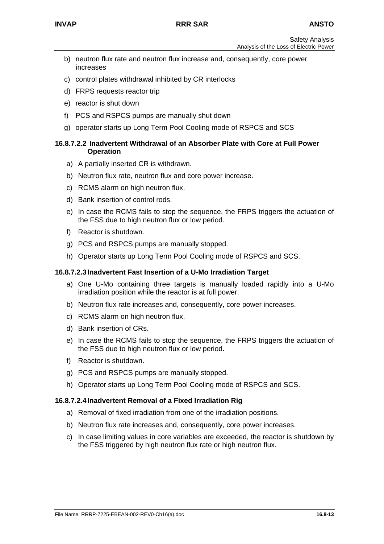- b) neutron flux rate and neutron flux increase and, consequently, core power increases
- c) control plates withdrawal inhibited by CR interlocks
- d) FRPS requests reactor trip
- e) reactor is shut down
- f) PCS and RSPCS pumps are manually shut down
- g) operator starts up Long Term Pool Cooling mode of RSPCS and SCS

#### **16.8.7.2.2 Inadvertent Withdrawal of an Absorber Plate with Core at Full Power Operation**

- a) A partially inserted CR is withdrawn.
- b) Neutron flux rate, neutron flux and core power increase.
- c) RCMS alarm on high neutron flux.
- d) Bank insertion of control rods.
- e) In case the RCMS fails to stop the sequence, the FRPS triggers the actuation of the FSS due to high neutron flux or low period.
- f) Reactor is shutdown.
- g) PCS and RSPCS pumps are manually stopped.
- h) Operator starts up Long Term Pool Cooling mode of RSPCS and SCS.

#### **16.8.7.2.3 Inadvertent Fast Insertion of a U-Mo Irradiation Target**

- a) One U-Mo containing three targets is manually loaded rapidly into a U-Mo irradiation position while the reactor is at full power.
- b) Neutron flux rate increases and, consequently, core power increases.
- c) RCMS alarm on high neutron flux.
- d) Bank insertion of CRs.
- e) In case the RCMS fails to stop the sequence, the FRPS triggers the actuation of the FSS due to high neutron flux or low period.
- f) Reactor is shutdown.
- g) PCS and RSPCS pumps are manually stopped.
- h) Operator starts up Long Term Pool Cooling mode of RSPCS and SCS.

#### **16.8.7.2.4 Inadvertent Removal of a Fixed Irradiation Rig**

- a) Removal of fixed irradiation from one of the irradiation positions.
- b) Neutron flux rate increases and, consequently, core power increases.
- c) In case limiting values in core variables are exceeded, the reactor is shutdown by the FSS triggered by high neutron flux rate or high neutron flux.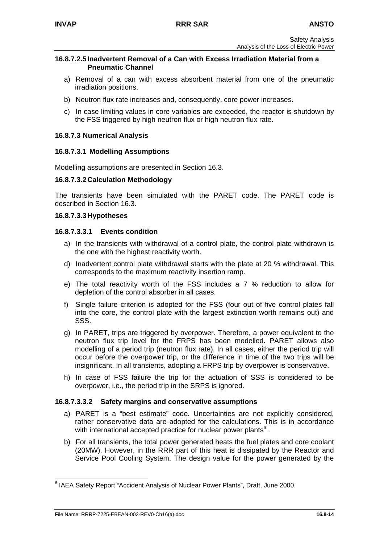#### **16.8.7.2.5 Inadvertent Removal of a Can with Excess Irradiation Material from a Pneumatic Channel**

- a) Removal of a can with excess absorbent material from one of the pneumatic irradiation positions.
- b) Neutron flux rate increases and, consequently, core power increases.
- c) In case limiting values in core variables are exceeded, the reactor is shutdown by the FSS triggered by high neutron flux or high neutron flux rate.

#### **16.8.7.3 Numerical Analysis**

#### **16.8.7.3.1 Modelling Assumptions**

Modelling assumptions are presented in Section 16.3.

#### **16.8.7.3.2 Calculation Methodology**

The transients have been simulated with the PARET code. The PARET code is described in Section 16.3.

#### **16.8.7.3.3 Hypotheses**

#### **16.8.7.3.3.1 Events condition**

- a) In the transients with withdrawal of a control plate, the control plate withdrawn is the one with the highest reactivity worth.
- d) Inadvertent control plate withdrawal starts with the plate at 20 % withdrawal. This corresponds to the maximum reactivity insertion ramp.
- e) The total reactivity worth of the FSS includes a 7 % reduction to allow for depletion of the control absorber in all cases.
- f) Single failure criterion is adopted for the FSS (four out of five control plates fall into the core, the control plate with the largest extinction worth remains out) and SSS.
- g) In PARET, trips are triggered by overpower. Therefore, a power equivalent to the neutron flux trip level for the FRPS has been modelled. PARET allows also modelling of a period trip (neutron flux rate). In all cases, either the period trip will occur before the overpower trip, or the difference in time of the two trips will be insignificant. In all transients, adopting a FRPS trip by overpower is conservative.
- h) In case of FSS failure the trip for the actuation of SSS is considered to be overpower, i.e., the period trip in the SRPS is ignored.

#### **16.8.7.3.3.2 Safety margins and conservative assumptions**

- a) PARET is a "best estimate" code. Uncertainties are not explicitly considered, rather conservative data are adopted for the calculations. This is in accordance with international accepted practice for nuclear power plants<sup>[6](#page-39-0)</sup>.
- b) For all transients, the total power generated heats the fuel plates and core coolant (20MW). However, in the RRR part of this heat is dissipated by the Reactor and Service Pool Cooling System. The design value for the power generated by the

<span id="page-39-0"></span> <sup>6</sup> IAEA Safety Report "Accident Analysis of Nuclear Power Plants", Draft, June 2000.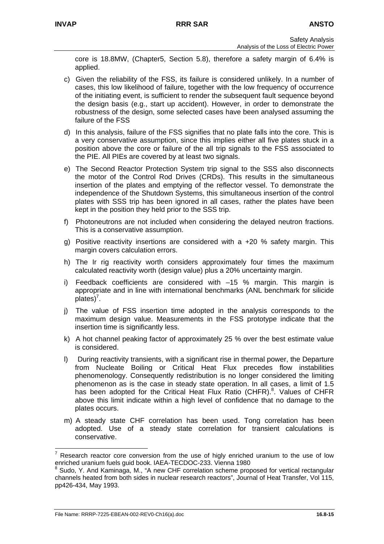core is 18.8MW, (Chapter5, Section 5.8), therefore a safety margin of 6.4% is applied.

- c) Given the reliability of the FSS, its failure is considered unlikely. In a number of cases, this low likelihood of failure, together with the low frequency of occurrence of the initiating event, is sufficient to render the subsequent fault sequence beyond the design basis (e.g., start up accident). However, in order to demonstrate the robustness of the design, some selected cases have been analysed assuming the failure of the FSS
- d) In this analysis, failure of the FSS signifies that no plate falls into the core. This is a very conservative assumption, since this implies either all five plates stuck in a position above the core or failure of the all trip signals to the FSS associated to the PIE. All PIEs are covered by at least two signals.
- e) The Second Reactor Protection System trip signal to the SSS also disconnects the motor of the Control Rod Drives (CRDs). This results in the simultaneous insertion of the plates and emptying of the reflector vessel. To demonstrate the independence of the Shutdown Systems, this simultaneous insertion of the control plates with SSS trip has been ignored in all cases, rather the plates have been kept in the position they held prior to the SSS trip.
- f) Photoneutrons are not included when considering the delayed neutron fractions. This is a conservative assumption.
- g) Positive reactivity insertions are considered with a +20 % safety margin. This margin covers calculation errors.
- h) The Ir rig reactivity worth considers approximately four times the maximum calculated reactivity worth (design value) plus a 20% uncertainty margin.
- i) Feedback coefficients are considered with –15 % margin. This margin is appropriate and in line with international benchmarks (ANL benchmark for silicide  $plates$ <sup>7</sup>.
- j) The value of FSS insertion time adopted in the analysis corresponds to the maximum design value. Measurements in the FSS prototype indicate that the insertion time is significantly less.
- k) A hot channel peaking factor of approximately 25 % over the best estimate value is considered.
- l) During reactivity transients, with a significant rise in thermal power, the Departure from Nucleate Boiling or Critical Heat Flux precedes flow instabilities phenomenology. Consequently redistribution is no longer considered the limiting phenomenon as is the case in steady state operation. In all cases, a limit of 1.5 has been adopted for the Critical Heat Flux Ratio (CHFR)[.](#page-40-1)<sup>8</sup>. Values of CHFR above this limit indicate within a high level of confidence that no damage to the plates occurs.
- m) A steady state CHF correlation has been used. Tong correlation has been adopted. Use of a steady state correlation for transient calculations is conservative.

<span id="page-40-0"></span> <sup>7</sup> Research reactor core conversion from the use of higly enriched uranium to the use of low enriched uranium fuels guid book. IAEA-TECDOC-233. Vienna 1980

<span id="page-40-1"></span><sup>8</sup> Sudo, Y. And Kaminaga, M., "A new CHF correlation scheme proposed for vertical rectangular channels heated from both sides in nuclear research reactors", Journal of Heat Transfer, Vol 115, pp426-434, May 1993.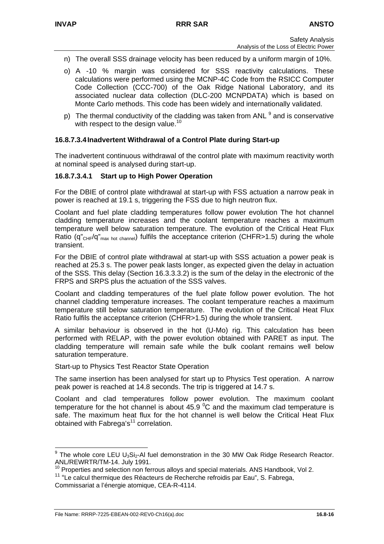- n) The overall SSS drainage velocity has been reduced by a uniform margin of 10%.
- o) A -10 % margin was considered for SSS reactivity calculations. These calculations were performed using the MCNP-4C Code from the RSICC Computer Code Collection (CCC-700) of the Oak Ridge National Laboratory, and its associated nuclear data collection (DLC-200 MCNPDATA) which is based on Monte Carlo methods. This code has been widely and internationally validated.
- p) The thermal conductivity of the cladding was taken from ANL <sup>[9](#page-41-0)</sup> and is conservative with respect to the design value.<sup>[10](#page-41-1)</sup>

#### **16.8.7.3.4 Inadvertent Withdrawal of a Control Plate during Start-up**

The inadvertent continuous withdrawal of the control plate with maximum reactivity worth at nominal speed is analysed during start-up.

#### **16.8.7.3.4.1 Start up to High Power Operation**

For the DBIE of control plate withdrawal at start-up with FSS actuation a narrow peak in power is reached at 19.1 s, triggering the FSS due to high neutron flux.

Coolant and fuel plate cladding temperatures follow power evolution The hot channel cladding temperature increases and the coolant temperature reaches a maximum temperature well below saturation temperature. The evolution of the Critical Heat Flux Ratio (q"<sub>CHF</sub>/q"<sub>max hot channel</sub>) fulfils the acceptance criterion (CHFR>1.5) during the whole transient.

For the DBIE of control plate withdrawal at start-up with SSS actuation a power peak is reached at 25.3 s. The power peak lasts longer, as expected given the delay in actuation of the SSS. This delay (Section 16.3.3.3.2) is the sum of the delay in the electronic of the FRPS and SRPS plus the actuation of the SSS valves.

Coolant and cladding temperatures of the fuel plate follow power evolution. The hot channel cladding temperature increases. The coolant temperature reaches a maximum temperature still below saturation temperature. The evolution of the Critical Heat Flux Ratio fulfils the acceptance criterion (CHFR>1.5) during the whole transient.

A similar behaviour is observed in the hot (U-Mo) rig. This calculation has been performed with RELAP, with the power evolution obtained with PARET as input. The cladding temperature will remain safe while the bulk coolant remains well below saturation temperature.

Start-up to Physics Test Reactor State Operation

The same insertion has been analysed for start up to Physics Test operation. A narrow peak power is reached at 14.8 seconds. The trip is triggered at 14.7 s.

Coolant and clad temperatures follow power evolution. The maximum coolant temperature for the hot channel is about 45.9  $\mathrm{^0C}$  and the maximum clad temperature is safe. The maximum heat flux for the hot channel is well below the Critical Heat Flux obtained with Fabrega's $11$  correlation.

<span id="page-41-0"></span> $9$  The whole core LEU U<sub>3</sub>Si<sub>2</sub>-Al fuel demonstration in the 30 MW Oak Ridge Research Reactor. ANL/REWRTR/TM-14. July 1991.

<span id="page-41-1"></span> $10$  Properties and selection non ferrous alloys and special materials. ANS Handbook, Vol 2.

<span id="page-41-2"></span><sup>&</sup>lt;sup>11</sup> "Le calcul thermique des Réacteurs de Recherche refroidis par Eau", S. Fabrega, Commissariat a l'énergie atomique, CEA-R-4114.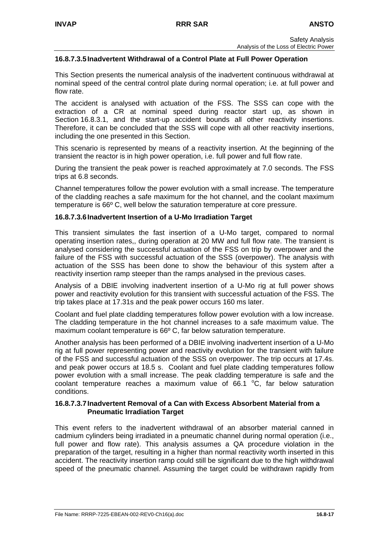## **16.8.7.3.5 Inadvertent Withdrawal of a Control Plate at Full Power Operation**

This Section presents the numerical analysis of the inadvertent continuous withdrawal at nominal speed of the central control plate during normal operation; i.e. at full power and flow rate.

The accident is analysed with actuation of the FSS. The SSS can cope with the extraction of a CR at nominal speed during reactor start up, as shown in Section 16.8.3.1, and the start-up accident bounds all other reactivity insertions. Therefore, it can be concluded that the SSS will cope with all other reactivity insertions, including the one presented in this Section.

This scenario is represented by means of a reactivity insertion. At the beginning of the transient the reactor is in high power operation, i.e. full power and full flow rate.

During the transient the peak power is reached approximately at 7.0 seconds. The FSS trips at 6.8 seconds.

Channel temperatures follow the power evolution with a small increase. The temperature of the cladding reaches a safe maximum for the hot channel, and the coolant maximum temperature is 66º C, well below the saturation temperature at core pressure.

#### **16.8.7.3.6 Inadvertent Insertion of a U-Mo Irradiation Target**

This transient simulates the fast insertion of a U-Mo target, compared to normal operating insertion rates,, during operation at 20 MW and full flow rate. The transient is analysed considering the successful actuation of the FSS on trip by overpower and the failure of the FSS with successful actuation of the SSS (overpower). The analysis with actuation of the SSS has been done to show the behaviour of this system after a reactivity insertion ramp steeper than the ramps analysed in the previous cases.

Analysis of a DBIE involving inadvertent insertion of a U-Mo rig at full power shows power and reactivity evolution for this transient with successful actuation of the FSS. The trip takes place at 17.31s and the peak power occurs 160 ms later.

Coolant and fuel plate cladding temperatures follow power evolution with a low increase. The cladding temperature in the hot channel increases to a safe maximum value. The maximum coolant temperature is 66º C, far below saturation temperature.

Another analysis has been performed of a DBIE involving inadvertent insertion of a U-Mo rig at full power representing power and reactivity evolution for the transient with failure of the FSS and successful actuation of the SSS on overpower. The trip occurs at 17.4s. and peak power occurs at 18.5 s. Coolant and fuel plate cladding temperatures follow power evolution with a small increase. The peak cladding temperature is safe and the coolant temperature reaches a maximum value of  $66.1 °C$ , far below saturation conditions.

#### **16.8.7.3.7 Inadvertent Removal of a Can with Excess Absorbent Material from a Pneumatic Irradiation Target**

This event refers to the inadvertent withdrawal of an absorber material canned in cadmium cylinders being irradiated in a pneumatic channel during normal operation (i.e., full power and flow rate). This analysis assumes a QA procedure violation in the preparation of the target, resulting in a higher than normal reactivity worth inserted in this accident. The reactivity insertion ramp could still be significant due to the high withdrawal speed of the pneumatic channel. Assuming the target could be withdrawn rapidly from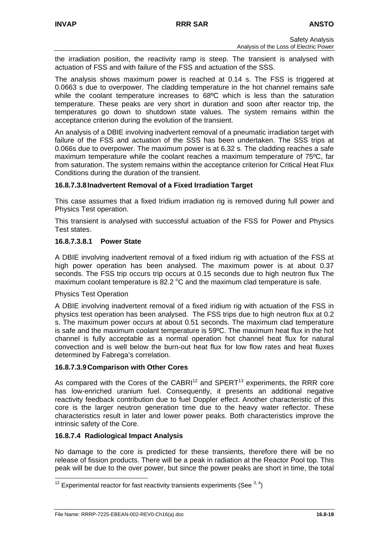the irradiation position, the reactivity ramp is steep. The transient is analysed with actuation of FSS and with failure of the FSS and actuation of the SSS.

The analysis shows maximum power is reached at 0.14 s. The FSS is triggered at 0.0663 s due to overpower. The cladding temperature in the hot channel remains safe while the coolant temperature increases to 68ºC which is less than the saturation temperature. These peaks are very short in duration and soon after reactor trip, the temperatures go down to shutdown state values. The system remains within the acceptance criterion during the evolution of the transient.

An analysis of a DBIE involving inadvertent removal of a pneumatic irradiation target with failure of the FSS and actuation of the SSS has been undertaken. The SSS trips at 0.066s due to overpower. The maximum power is at 6.32 s. The cladding reaches a safe maximum temperature while the coolant reaches a maximum temperature of 75ºC, far from saturation. The system remains within the acceptance criterion for Critical Heat Flux Conditions during the duration of the transient.

#### **16.8.7.3.8 Inadvertent Removal of a Fixed Irradiation Target**

This case assumes that a fixed Iridium irradiation rig is removed during full power and Physics Test operation.

This transient is analysed with successful actuation of the FSS for Power and Physics Test states.

#### **16.8.7.3.8.1 Power State**

A DBIE involving inadvertent removal of a fixed iridium rig with actuation of the FSS at high power operation has been analysed. The maximum power is at about 0.37 seconds. The FSS trip occurs trip occurs at 0.15 seconds due to high neutron flux The maximum coolant temperature is 82.2  $^{\circ}$ C and the maximum clad temperature is safe.

#### Physics Test Operation

A DBIE involving inadvertent removal of a fixed iridium rig with actuation of the FSS in physics test operation has been analysed. The FSS trips due to high neutron flux at 0.2 s. The maximum power occurs at about 0.51 seconds. The maximum clad temperature is safe and the maximum coolant temperature is 59ºC. The maximum heat flux in the hot channel is fully acceptable as a normal operation hot channel heat flux for natural convection and is well below the burn-out heat flux for low flow rates and heat fluxes determined by Fabrega's correlation.

#### **16.8.7.3.9 Comparison with Other Cores**

As compared with the Cores of the CABRI $12$  and SPERT<sup>13</sup> experiments, the RRR core has low-enriched uranium fuel. Consequently, it presents an additional negative reactivity feedback contribution due to fuel Doppler effect. Another characteristic of this core is the larger neutron generation time due to the heavy water reflector. These characteristics result in later and lower power peaks. Both characteristics improve the intrinsic safety of the Core.

#### **16.8.7.4 Radiological Impact Analysis**

No damage to the core is predicted for these transients, therefore there will be no release of fission products. There will be a peak in radiation at the Reactor Pool top. This peak will be due to the over power, but since the power peaks are short in time, the total

<span id="page-43-0"></span><sup>&</sup>lt;sup>12</sup> Experimental reactor for fast reactivity transients experiments (See  $3, 4$ )